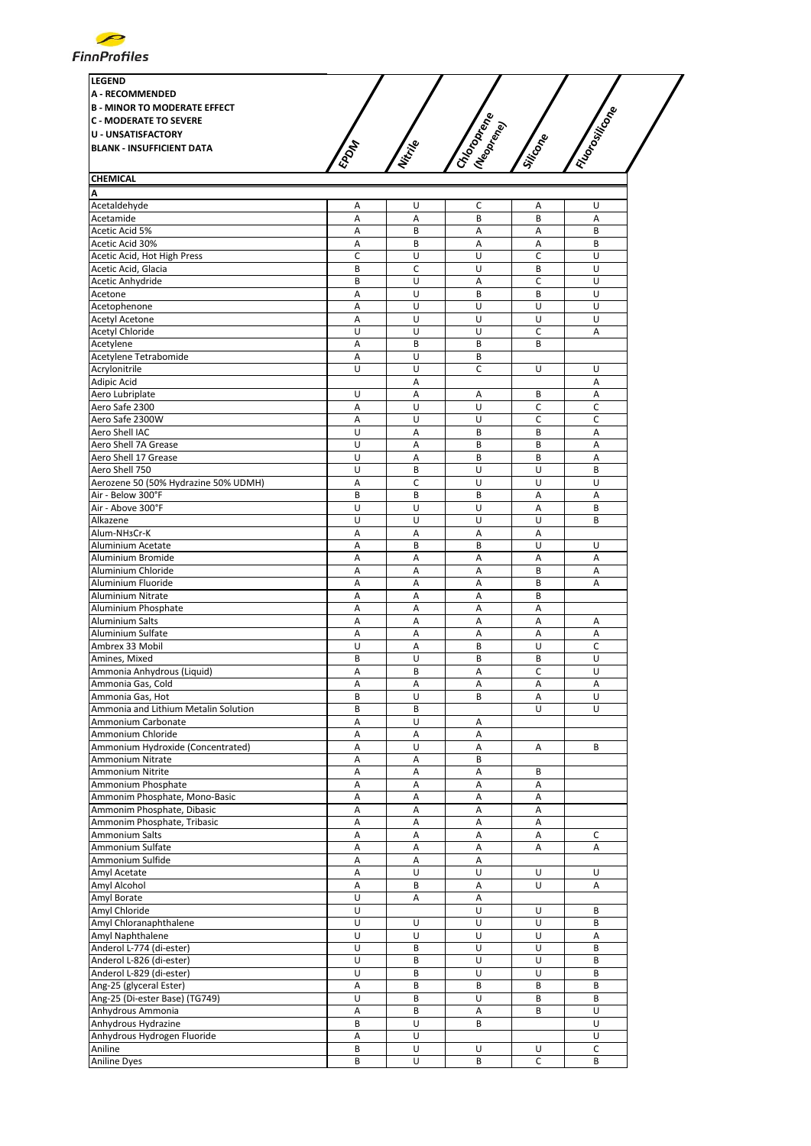

| <b>CHEMICAL</b>                    | <b>LEGEND</b><br><b>A - RECOMMENDED</b><br><b>B - MINOR TO MODERATE EFFECT</b><br><b>C - MODERATE TO SEVERE</b><br><b>U - UNSATISFACTORY</b><br><b>BLANK - INSUFFICIENT DATA</b> | EPON | Nitripe | Chlopoperate<br><b>(Neoptered</b> | Siticope | Filosoficones |  |
|------------------------------------|----------------------------------------------------------------------------------------------------------------------------------------------------------------------------------|------|---------|-----------------------------------|----------|---------------|--|
|                                    |                                                                                                                                                                                  |      |         |                                   |          |               |  |
|                                    |                                                                                                                                                                                  |      |         |                                   |          |               |  |
| Acetaldehyde<br>A<br>A             |                                                                                                                                                                                  |      |         |                                   |          |               |  |
| Acetamide<br>B<br>R<br>А<br>A<br>А |                                                                                                                                                                                  |      |         |                                   |          |               |  |

| Acciamide                            | $\mathbf{r}$ | $\mathbf{r}$ | D | D | $\mathbf{r}$ |
|--------------------------------------|--------------|--------------|---|---|--------------|
| Acetic Acid 5%                       | А            | B            | А | Α | B            |
| Acetic Acid 30%                      | Α            | B            | А | Α | B            |
| Acetic Acid, Hot High Press          | C            | U            | U | C | U            |
| Acetic Acid, Glacia                  | B            |              |   |   | U            |
|                                      |              | c            | U | B |              |
| Acetic Anhydride                     | B            | U            | Α | C | U            |
| Acetone                              | A            | U            | B | B | U            |
| Acetophenone                         | Α            | U            | U | U | U            |
| <b>Acetyl Acetone</b>                | Α            | U            | U | U | U            |
| Acetyl Chloride                      | U            | U            | U | C | A            |
|                                      |              |              |   |   |              |
| Acetylene                            | Α            | B            | B | B |              |
| Acetylene Tetrabomide                | A            | U            | B |   |              |
| Acrylonitrile                        | U            | U            | С | U | U            |
| Adipic Acid                          |              | A            |   |   | Α            |
| Aero Lubriplate                      | U            | Α            | А | В | А            |
| Aero Safe 2300                       | A            | U            | U | С | С            |
|                                      |              | U            |   |   |              |
| Aero Safe 2300W                      | Α            |              | U | C | C            |
| Aero Shell IAC                       | U            | Α            | B | B | Α            |
| Aero Shell 7A Grease                 | U            | A            | B | B | A            |
| Aero Shell 17 Grease                 | U            | Α            | В | B | Α            |
| Aero Shell 750                       | U            | B            | U | U | B            |
| Aerozene 50 (50% Hydrazine 50% UDMH) | Α            | C            | U | U | U            |
|                                      |              |              |   |   |              |
| Air - Below 300°F                    | B            | B            | В | Α | Α            |
| Air - Above 300°F                    | U            | U            | U | Α | B            |
| Alkazene                             | U            | U            | U | U | B            |
| Alum-NH3Cr-K                         | Α            | Α            | Α | Α |              |
| Aluminium Acetate                    | Α            | B            | B | U | U            |
| Aluminium Bromide                    | A            | A            | Α | Α | Α            |
|                                      |              |              |   |   |              |
| Aluminium Chloride                   | Α            | Α            | Α | B | Α            |
| Aluminium Fluoride                   | Α            | Α            | Α | B | Α            |
| Aluminium Nitrate                    | A            | A            | A | B |              |
| Aluminium Phosphate                  | Α            | Α            | Α | Α |              |
| Aluminium Salts                      | Α            | Α            | Α | Α | Α            |
| Aluminium Sulfate                    | Α            | Α            | Α | Α | Α            |
| Ambrex 33 Mobil                      | U            | Α            | B | U | c            |
|                                      |              |              |   |   |              |
| Amines, Mixed                        | B            | U            | B | B | U            |
| Ammonia Anhydrous (Liquid)           | A            | B            | A | C | U            |
| Ammonia Gas, Cold                    | A            | A            | A | A | A            |
| Ammonia Gas, Hot                     | B            | Ù            | В | Α | U            |
| Ammonia and Lithium Metalin Solution | B            | B            |   | U | U            |
| Ammonium Carbonate                   | Α            | U            | Α |   |              |
|                                      |              |              |   |   |              |
| Ammonium Chloride                    | Α            | Α            | Α |   |              |
| Ammonium Hydroxide (Concentrated)    | A            | U            | Α | Α | B            |
| Ammonium Nitrate                     | A            | A            | B |   |              |
| Ammonium Nitrite                     | Α            | Α            | Α | B |              |
| Ammonium Phosphate                   | Α            | Α            | Α | Α |              |
|                                      | A            | Α            | Α | Α |              |
| Ammonim Phosphate, Mono-Basic        |              |              |   |   |              |
| Ammonim Phosphate, Dibasic           | Α            | Α            | Α | Α |              |
| Ammonim Phosphate, Tribasic          | A            | A            | A | A |              |
| Ammonium Salts                       | Α            | Α            | А | Α | $\mathsf C$  |
| Ammonium Sulfate                     | Α            | А            | Α | Α | Α            |
| Ammonium Sulfide                     | A            | Α            | Α |   |              |
|                                      |              | U            | U | U | U            |
| Amyl Acetate                         | Α            |              |   |   |              |
| Amyl Alcohol                         | Α            | B            | А | U | А            |
| Amyl Borate                          | U            | Α            | Α |   |              |
| Amyl Chloride                        | U            |              | U | U | B            |
| Amyl Chloranaphthalene               | U            | U            | U | U | В            |
| Amyl Naphthalene                     | U            | U            | U | U | Α            |
|                                      | U            | B            | U | U | B            |
| Anderol L-774 (di-ester)             |              |              |   |   |              |
| Anderol L-826 (di-ester)             | U            | B            | U | U | B            |
| Anderol L-829 (di-ester)             | U            | B            | U | U | B            |
| Ang-25 (glyceral Ester)              | Α            | B            | B | B | B            |
| Ang-25 (Di-ester Base) (TG749)       | U            | B            | U | B | B            |
| Anhydrous Ammonia                    | Α            | В            | Α | B | U            |
|                                      | B            | U            | B |   | U            |
| Anhydrous Hydrazine                  |              |              |   |   |              |
| Anhydrous Hydrogen Fluoride          | Α            | U            |   |   | U            |
| Aniline                              | B            | U            | U | U | С            |
| <b>Aniline Dyes</b>                  | B            | U            | B | С | B            |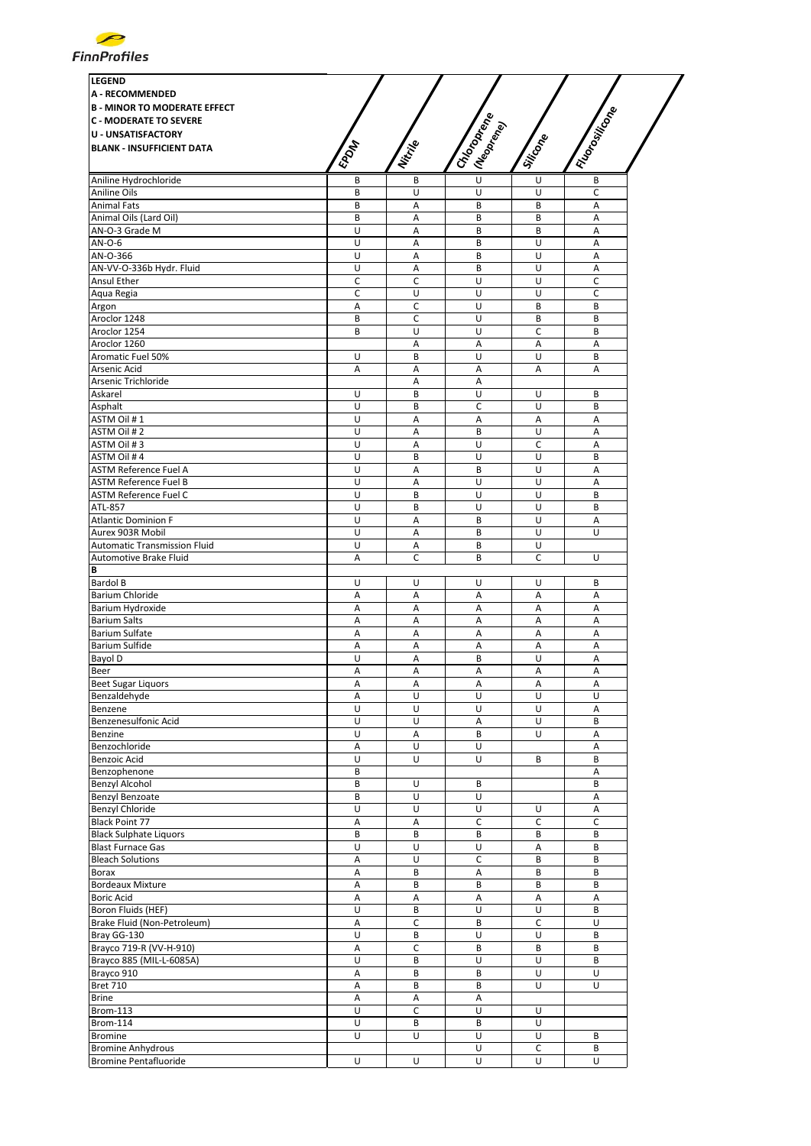

| <b>LEGEND</b>                       |                |              |                             |          |                 |
|-------------------------------------|----------------|--------------|-----------------------------|----------|-----------------|
| <b>A - RECOMMENDED</b>              |                |              |                             |          |                 |
| <b>B - MINOR TO MODERATE EFFECT</b> |                |              |                             |          |                 |
| <b>C - MODERATE TO SEVERE</b>       |                |              |                             |          |                 |
| <b>U - UNSATISFACTORY</b>           |                |              |                             |          |                 |
| <b>BLANK - INSUFFICIENT DATA</b>    | <b>EPOM</b>    | Nitrille     | I Choponena<br>I (Neoprend) | Siticone | I Florositicone |
|                                     |                |              |                             |          |                 |
| Aniline Hydrochloride               | B              | B            | $\overline{U}$              | U        | B               |
| Aniline Oils                        | B              | U            | U                           | U        | C               |
| <b>Animal Fats</b>                  | B              | A            | B                           | B        | $\overline{A}$  |
| Animal Oils (Lard Oil)              | B              | Α            | B                           | B        | Α               |
| AN-O-3 Grade M                      | U              | Α            | B                           | B        | Α               |
| AN-O-6                              | U              | A            | B                           | U        | $\overline{A}$  |
| AN-O-366                            | U              | Α            | B                           | U        | A               |
| AN-VV-O-336b Hydr. Fluid            | U              | A            | B                           | U        | Α               |
| Ansul Ether                         | C              | C            | U                           | U        | $\mathsf C$     |
| Aqua Regia                          | C              | U            | U                           | U        | С               |
| Argon                               | Α              | c            | U                           | B        | В               |
| Aroclor 1248                        | B              | $\mathsf{C}$ | U                           | B        | B               |
| Aroclor 1254                        | B              | U            | U                           | C        | B               |
| Aroclor 1260                        |                | Α            | Α                           | Α        | A               |
| Aromatic Fuel 50%                   |                |              |                             |          |                 |
|                                     | U              | B            | U                           | U        | B               |
| Arsenic Acid                        | Α              | Α            | А                           | А        | Α               |
| Arsenic Trichloride                 |                | Α            | Α                           |          |                 |
| Askarel                             | U              | B            | U                           | U        | B               |
| Asphalt                             | U              | B            | C                           | U        | В               |
| ASTM Oil #1                         | U              | Α            | Α                           | Α        | Α               |
| ASTM Oil #2                         | U              | Α            | B                           | U        | Α               |
| ASTM Oil #3                         | U              | Α            | U                           | С        | Α               |
| ASTM Oil #4                         | U              | B            | U                           | U        | B               |
| <b>ASTM Reference Fuel A</b>        | U              | A            | B                           | U        | A               |
| <b>ASTM Reference Fuel B</b>        | U              | A            | U                           | U        | A               |
| <b>ASTM Reference Fuel C</b>        | U              | B            | U                           | U        | B               |
| ATL-857                             | $\overline{U}$ | B            | U                           | U        | B               |
| <b>Atlantic Dominion F</b>          | U              | Α            | B                           | U        | Α               |
| Aurex 903R Mobil                    | U              | A            | B                           | U        | U               |
|                                     |                |              |                             |          |                 |
| <b>Automatic Transmission Fluid</b> | U              | Α            | B                           | U        |                 |
| Automotive Brake Fluid              | A              | C            | B                           | C        | U               |
| В                                   |                |              |                             |          |                 |
| <b>Bardol B</b>                     | U              | U            | U                           | U        | В               |
| Barium Chloride                     | А              | А            | Α                           | А        | Α               |
| Barium Hydroxide                    | Α              | Α            | Α                           | Α        | Α               |
| <b>Barium Salts</b>                 | Α              | A            | Α                           | Α        | A               |
| Barium Sulfate                      | Α              | A            | A                           | Α        | $\overline{A}$  |
| Barium Sulfide                      | Α              | Α            | Α                           | Α        | А               |
| Bayol D                             | U              | Α            | B                           | U        | Α               |
| Beer                                | A              | A            | A                           | Α        | A               |
| <b>Beet Sugar Liquors</b>           | А              | Α            | А                           | Α        | Α               |
| Benzaldehyde                        | A              | U            | U                           | U        | U               |
| Benzene                             | U              | U            | U                           | U        | A               |
| Benzenesulfonic Acid                | U              | U            | Α                           | U        | B               |
| Benzine                             | U              | Α            | B                           | U        | Α               |
| Benzochloride                       | Α              | U            | U                           |          | Α               |
| Benzoic Acid                        | U              | U            | U                           | В        | B               |
|                                     |                |              |                             |          |                 |
| Benzophenone                        | В              |              |                             |          | Α               |
| <b>Benzyl Alcohol</b>               | B              | U            | B                           |          | B               |
| Benzyl Benzoate                     | B              | U            | U                           |          | Α               |
| Benzyl Chloride                     | U              | U            | U                           | U        | Α               |
| <b>Black Point 77</b>               | Α              | Α            | С                           | C        | C               |
| <b>Black Sulphate Liquors</b>       | B              | B            | B                           | B        | B               |
| <b>Blast Furnace Gas</b>            | U              | U            | U                           | Α        | В               |
| <b>Bleach Solutions</b>             | А              | U            | $\mathsf C$                 | B        | B               |
| Borax                               | Α              | B            | Α                           | B        | B               |
| <b>Bordeaux Mixture</b>             | Α              | B            | В                           | B        | В               |
| <b>Boric Acid</b>                   | Α              | A            | Α                           | A        | Α               |
| Boron Fluids (HEF)                  | U              | B            | U                           | U        | В               |
| Brake Fluid (Non-Petroleum)         | Α              | C            | В                           | C        | U               |
| Bray GG-130                         | U              | B            | U                           | U        | B               |
| Brayco 719-R (VV-H-910)             | $\sf A$        | C            | B                           | B        | B               |
| Brayco 885 (MIL-L-6085A)            | U              | B            | U                           | U        | B               |
| Brayco 910                          | Α              | B            | B                           | U        | U               |
|                                     |                |              |                             |          |                 |
| <b>Bret 710</b>                     | $\sf A$        | В            | B                           | U        | U               |
| <b>Brine</b>                        | A              | Α            | А                           |          |                 |
| <b>Brom-113</b>                     | U              | C            | U                           | U        |                 |
| Brom-114                            | U              | B            | B                           | U        |                 |
| <b>Bromine</b>                      | U              | U            | U                           | U        | B               |
| <b>Bromine Anhydrous</b>            |                |              | U                           | С        | В               |
| <b>Bromine Pentafluoride</b>        | $\overline{U}$ | U            | U                           | U        | U               |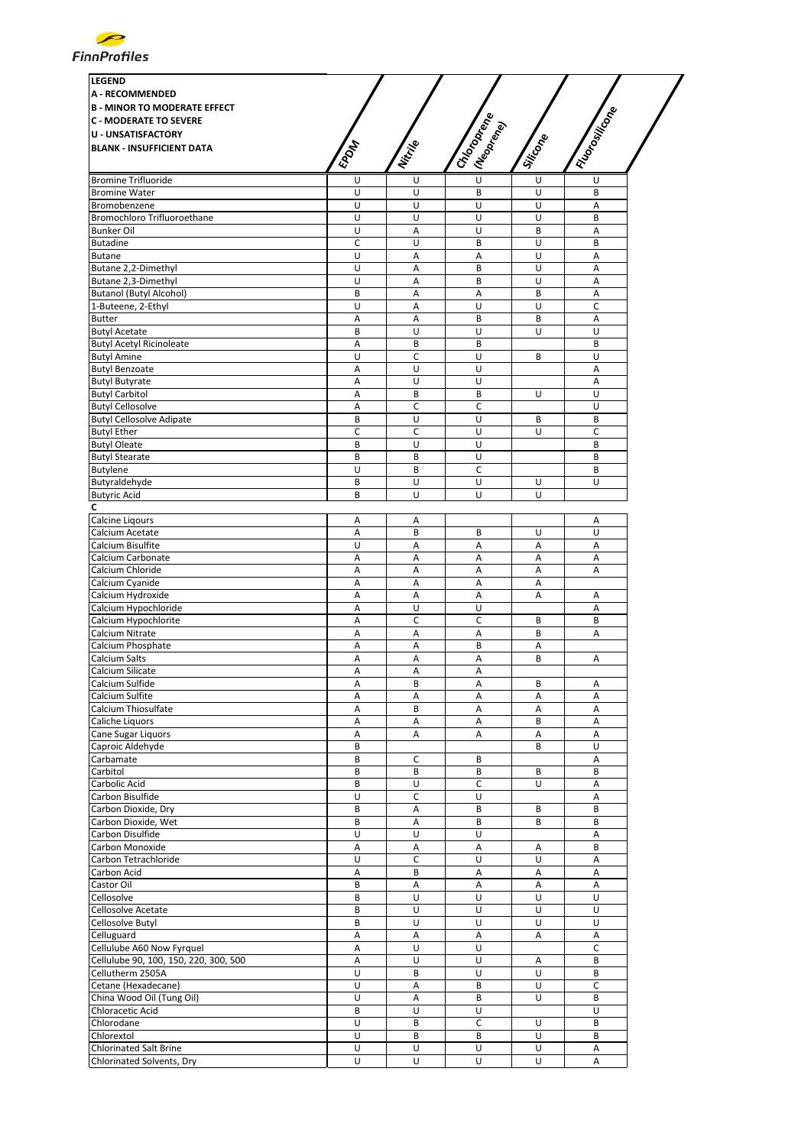

| <b>LEGEND</b><br><b>A - RECOMMENDED</b><br><b>B - MINOR TO MODERATE EFFECT</b><br><b>C - MODERATE TO SEVERE</b><br><b>U - UNSATISFACTORY</b><br><b>BLANK - INSUFFICIENT DATA</b> | EPOM             | Nitrije     | I Chooperance<br>I (Neopr <sub>ego</sub> | Siticone | I Riongwing       |
|----------------------------------------------------------------------------------------------------------------------------------------------------------------------------------|------------------|-------------|------------------------------------------|----------|-------------------|
| <b>Bromine Trifluoride</b>                                                                                                                                                       | U                | U           | $\overline{U}$                           | U        | U                 |
| <b>Bromine Water</b>                                                                                                                                                             | U                | U           | B                                        | U        | B                 |
| Bromobenzene                                                                                                                                                                     | U                | U           | U                                        | U        | Α                 |
| Bromochloro Trifluoroethane                                                                                                                                                      | $\overline{U}$   | U           | U                                        | U        | B                 |
| <b>Bunker Oil</b>                                                                                                                                                                | U                | Α           | U                                        | B        | Α                 |
| <b>Butadine</b>                                                                                                                                                                  | C                | U           | B                                        | U        | B                 |
| <b>Butane</b>                                                                                                                                                                    | U                | A           | A                                        | U        | A                 |
| Butane 2,2-Dimethyl                                                                                                                                                              | U                | A           | B                                        | U        | A                 |
| Butane 2,3-Dimethyl                                                                                                                                                              | U                | Α           | B                                        | U        | A                 |
| <b>Butanol (Butyl Alcohol)</b>                                                                                                                                                   | B                | Α           | Α                                        | B        | Α                 |
| 1-Buteene, 2-Ethyl                                                                                                                                                               | U                | Α           | U                                        | U        | C                 |
| Butter                                                                                                                                                                           | A                | A           | B                                        | B        | A                 |
| <b>Butyl Acetate</b>                                                                                                                                                             | B                | U           | U                                        | U        | U                 |
| <b>Butyl Acetyl Ricinoleate</b>                                                                                                                                                  | A                | B           | B                                        |          | B                 |
| <b>Butyl Amine</b>                                                                                                                                                               | U                | C           | U                                        | B        | U                 |
| <b>Butyl Benzoate</b>                                                                                                                                                            | Α                | U           | U                                        |          | Α                 |
| <b>Butyl Butyrate</b>                                                                                                                                                            | А                | U           | U                                        |          | A                 |
| <b>Butyl Carbitol</b>                                                                                                                                                            | А                | B           | В                                        | U        | U                 |
| <b>Butyl Cellosolve</b>                                                                                                                                                          | А                | C           | C                                        |          | U                 |
| <b>Butyl Cellosolve Adipate</b>                                                                                                                                                  | B                | U           | U                                        | B<br>U   | B<br>$\mathsf{C}$ |
| <b>Butyl Ether</b><br><b>Butyl Oleate</b>                                                                                                                                        | $\mathsf C$<br>B | C           | U<br>U                                   |          | B                 |
|                                                                                                                                                                                  | B                | U<br>B      | U                                        |          | B                 |
| <b>Butyl Stearate</b><br>Butylene                                                                                                                                                | U                |             | C                                        |          | B                 |
| Butyraldehyde                                                                                                                                                                    | B                | В<br>U      | U                                        | U        | U                 |
| <b>Butyric Acid</b>                                                                                                                                                              | B                | U           | U                                        | U        |                   |
| С                                                                                                                                                                                |                  |             |                                          |          |                   |
| Calcine Ligours                                                                                                                                                                  | Α                | Α           |                                          |          | Α                 |
| Calcium Acetate                                                                                                                                                                  | Α                | B           | B                                        | U        | U                 |
| Calcium Bisulfite                                                                                                                                                                | U                | Α           | А                                        | A        | А                 |
| Calcium Carbonate                                                                                                                                                                | Α                | Α           | Α                                        | Α        | Α                 |
| Calcium Chloride                                                                                                                                                                 | А                | A           | A                                        | A        | A                 |
| Calcium Cyanide                                                                                                                                                                  | Α                | Α           | Α                                        |          |                   |
| Calcium Hydroxide                                                                                                                                                                | А                | Α           | Α                                        | Α<br>Α   | A                 |
| Calcium Hypochloride                                                                                                                                                             | Α                | U           | U                                        |          | Α                 |
| Calcium Hypochlorite                                                                                                                                                             | А                | $\mathsf C$ | C                                        | B        | B                 |
| Calcium Nitrate                                                                                                                                                                  | Α                | Α           | Α                                        | B        | Α                 |
| Calcium Phosphate                                                                                                                                                                | A                | A           | B                                        | Α        |                   |
| Calcium Salts                                                                                                                                                                    | А                | А           | Α                                        | B        | Α                 |
| Calcium Silicate                                                                                                                                                                 | Α                | A           | Α                                        |          |                   |
| Calcium Sulfide                                                                                                                                                                  | Α                | В           | Α                                        | В        | Α                 |
| Calcium Sulfite                                                                                                                                                                  | А                | А           | Α                                        | Α        | A                 |
| Calcium Thiosulfate                                                                                                                                                              | А                | В           | Α                                        | Α        | А                 |
| Caliche Liquors                                                                                                                                                                  | Α                | Α           | Α                                        | B        | Α                 |
| Cane Sugar Liquors                                                                                                                                                               | Α                | Α           | А                                        | Α        | А                 |
| Caproic Aldehyde                                                                                                                                                                 | B                |             |                                          | B        | U                 |
| Carbamate                                                                                                                                                                        | B                | c           | В                                        |          | Α                 |
| Carbitol                                                                                                                                                                         | B                | В           | B                                        | B        | B                 |
| Carbolic Acid                                                                                                                                                                    | B                | U           | C                                        | U        | Α                 |
| Carbon Bisulfide                                                                                                                                                                 | U                | c           | U                                        |          | Α                 |
| Carbon Dioxide, Dry                                                                                                                                                              | B                | Α           | B                                        | B        | B                 |
| Carbon Dioxide, Wet                                                                                                                                                              | B                | А           | B                                        | B        | B                 |
| Carbon Disulfide                                                                                                                                                                 | U                | U           | U                                        |          | Α                 |
| Carbon Monoxide                                                                                                                                                                  | Α                | А           | Α                                        | Α        | B                 |
| Carbon Tetrachloride                                                                                                                                                             | U                | c           | U                                        | U        | Α                 |
| Carbon Acid                                                                                                                                                                      | Α                | B           | Α                                        | Α        | А                 |
| Castor Oil                                                                                                                                                                       | B                | Α           | А                                        | Α        | Α                 |
| Cellosolve                                                                                                                                                                       | B                | U           | U                                        | U        | U                 |
| Cellosolve Acetate                                                                                                                                                               | B                | U           | U                                        | U        | U                 |
| Cellosolve Butyl                                                                                                                                                                 | B                | U           | U                                        | U        | U                 |
| Celluguard                                                                                                                                                                       | Α                | Α           | Α                                        | Α        | Α                 |
| Cellulube A60 Now Fyrquel                                                                                                                                                        | Α                | U           | U                                        |          | C                 |
| Cellulube 90, 100, 150, 220, 300, 500                                                                                                                                            | Α                | U           | U                                        | Α        | B                 |
| Cellutherm 2505A                                                                                                                                                                 | U                | B           | U                                        | U        | B                 |
| Cetane (Hexadecane)                                                                                                                                                              | U                | Α           | B                                        | U        | $\mathsf C$       |
| China Wood Oil (Tung Oil)                                                                                                                                                        | U                | Α           | B                                        | U        | B                 |
| Chloracetic Acid                                                                                                                                                                 | B                | U           | U                                        |          | U                 |
| Chlorodane                                                                                                                                                                       | U                | В           | с                                        | U        | B                 |
| Chlorextol                                                                                                                                                                       | U                | B           | B                                        | U        | B                 |
| <b>Chlorinated Salt Brine</b>                                                                                                                                                    | $\sf U$          | U           | $\sf U$                                  | U        | Α                 |
| Chlorinated Solvents, Dry                                                                                                                                                        | U                | U           | U                                        | U        | Α                 |
|                                                                                                                                                                                  |                  |             |                                          |          |                   |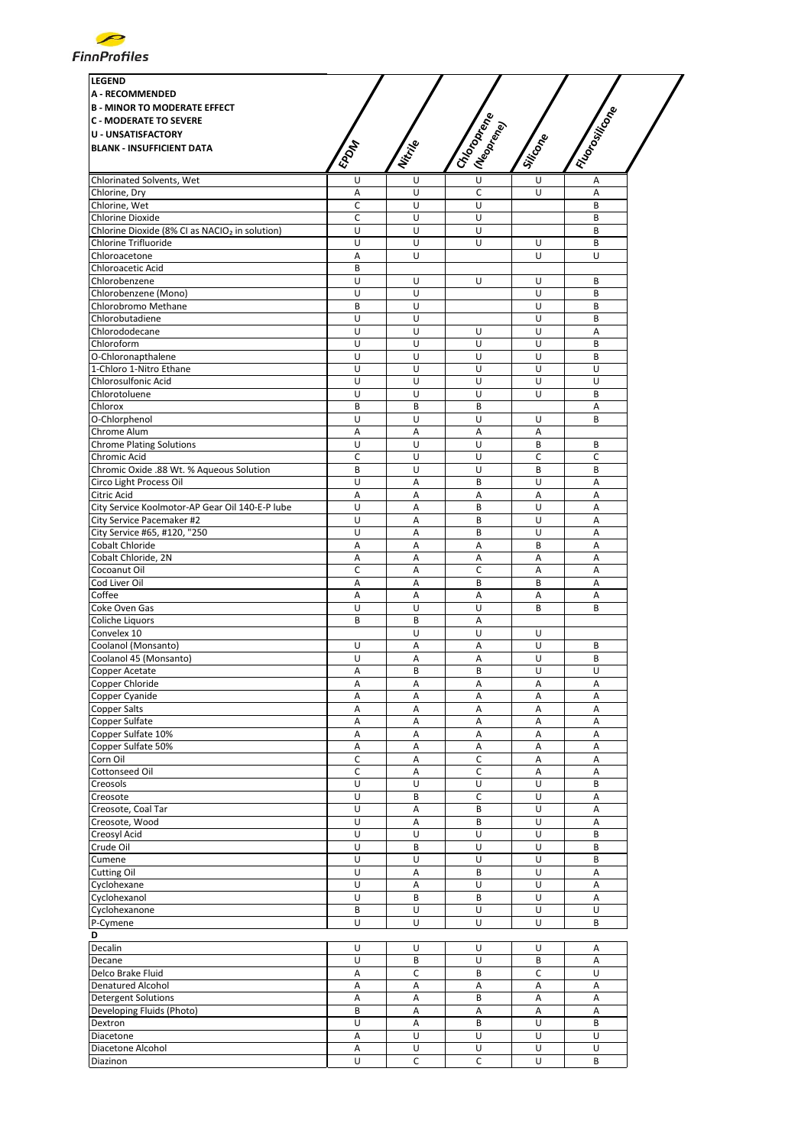

| <b>LEGEND</b>                                              |                  |         |                                       |             |                |
|------------------------------------------------------------|------------------|---------|---------------------------------------|-------------|----------------|
| <b>A - RECOMMENDED</b>                                     |                  |         |                                       |             |                |
| <b>B - MINOR TO MODERATE EFFECT</b>                        |                  |         |                                       |             |                |
| <b>C - MODERATE TO SEVERE</b>                              |                  |         |                                       |             |                |
| <b>U - UNSATISFACTORY</b>                                  |                  |         |                                       |             |                |
| <b>BLANK - INSUFFICIENT DATA</b>                           | <b>EPOM</b>      | Nitrije | I Chooping<br>I (Neopr <sub>ego</sub> | Silicone    | I Riongilleone |
| Chlorinated Solvents, Wet                                  | U                | U       | $\overline{U}$                        | U           | Α              |
| Chlorine, Dry                                              | Α                | U       | C                                     | U           | A              |
| Chlorine, Wet                                              | C                | U       | U                                     |             | B              |
| <b>Chlorine Dioxide</b>                                    | $\mathsf C$      | U       | U                                     |             | B              |
| Chlorine Dioxide (8% CI as NACIO <sub>2</sub> in solution) | U                | U       | U                                     |             | B              |
| Chlorine Trifluoride                                       | U                | U       | U                                     | U           | B              |
| Chloroacetone                                              | Α                | U       |                                       | U           | U              |
| <b>Chloroacetic Acid</b><br>Chlorobenzene                  | B<br>U           | U       | U                                     | U           | B              |
| Chlorobenzene (Mono)                                       | U                | U       |                                       | U           | B              |
| Chlorobromo Methane                                        | B                | U       |                                       | U           | B              |
| Chlorobutadiene                                            | U                | U       |                                       | U           | B              |
| Chlorododecane                                             | U                | U       | U                                     | U           | Α              |
| Chloroform                                                 | U                | U       | U                                     | U           | B              |
| O-Chloronapthalene                                         | U                | U       | U                                     | U           | B              |
| 1-Chloro 1-Nitro Ethane                                    | U                | U       | U                                     | U           | U              |
| <b>Chlorosulfonic Acid</b>                                 | U                | U       | U                                     | U           | U              |
| Chlorotoluene                                              | U                | U       | U                                     | U           | B              |
| Chlorox                                                    | B                | B       | B                                     |             | Α              |
| O-Chlorphenol                                              | U                | U       | U                                     | U           | B              |
| Chrome Alum<br><b>Chrome Plating Solutions</b>             | Α<br>U           | Α<br>U  | Α<br>U                                | Α<br>B      | B              |
| Chromic Acid                                               | C                | U       | U                                     | $\mathsf C$ | C              |
| Chromic Oxide .88 Wt. % Aqueous Solution                   | B                | U       | U                                     | B           | B              |
| Circo Light Process Oil                                    | U                | Α       | B                                     | U           | A              |
| Citric Acid                                                | Α                | A       | Α                                     | Α           | A              |
| City Service Koolmotor-AP Gear Oil 140-E-P lube            | U                | A       | B                                     | U           | A              |
| City Service Pacemaker #2                                  | U                | Α       | B                                     | U           | А              |
| City Service #65, #120, "250                               | U                | Α       | B                                     | U           | A              |
| Cobalt Chloride                                            | A                | Α       | Α                                     | В           | А              |
| Cobalt Chloride, 2N                                        | Α                | Α       | Α                                     | Α           | Α              |
| Cocoanut Oil                                               | C                | A       | C                                     | А           | A              |
| Cod Liver Oil                                              | Α                | Α       | B                                     | B           | Α              |
| Coffee<br>Coke Oven Gas                                    | А<br>U           | Α<br>U  | Α<br>U                                | Α<br>B      | Α<br>B         |
| Coliche Liquors                                            | B                | В       | A                                     |             |                |
| Convelex 10                                                |                  | U       | U                                     | U           |                |
| Coolanol (Monsanto)                                        | U                | A       | A                                     | U           | B              |
| Coolanol 45 (Monsanto)                                     | U                | A       | Α                                     | U           | B              |
| Copper Acetate                                             | Α                | B       | B                                     | U           | U              |
| Copper Chloride                                            | Α                | Α       | Α                                     | Α           | Α              |
| Copper Cyanide                                             | Α                | А       | A                                     | Α           | А              |
| Copper Salts                                               | А                | Α       | Α                                     | Α           | А              |
| Copper Sulfate                                             | Α                | Α       | Α                                     | Α           | Α              |
| Copper Sulfate 10%<br>Copper Sulfate 50%                   | А                | Α       | Α                                     | Α           | А<br>А         |
| Corn Oil                                                   | А<br>$\mathsf C$ | Α<br>Α  | A<br>C                                | Α<br>Α      | Α              |
| Cottonseed Oil                                             | C                | Α       | С                                     | Α           | Α              |
| Creosols                                                   | U                | U       | U                                     | U           | B              |
| Creosote                                                   | U                | B       | C                                     | U           | Α              |
| Creosote, Coal Tar                                         | U                | Α       | B                                     | U           | A              |
| Creosote, Wood                                             | U                | А       | B                                     | U           | А              |
| Creosyl Acid                                               | U                | U       | U                                     | U           | B              |
| Crude Oil                                                  | U                | B       | U                                     | U           | B              |
| Cumene                                                     | U                | U       | U                                     | U           | B              |
| Cutting Oil                                                | U                | Α       | B                                     | U           | А              |
| Cyclohexane                                                | U                | Α       | U                                     | U           | А              |
| Cyclohexanol                                               | U                | B       | B                                     | U           | А              |
| Cyclohexanone<br>P-Cymene                                  | В<br>U           | U<br>U  | U<br>U                                | U<br>U      | U<br>B         |
|                                                            |                  |         |                                       |             |                |
| D<br>Decalin                                               | U                | U       | U                                     | U           | Α              |
| Decane                                                     | U                | B       | U                                     | B           | A              |
| Delco Brake Fluid                                          | А                | C       | B                                     | C           | U              |
| Denatured Alcohol                                          | Α                | A       | Α                                     | A           | Α              |
| <b>Detergent Solutions</b>                                 | Α                | Α       | B                                     | Α           | Α              |
| Developing Fluids (Photo)                                  | B                | Α       | Α                                     | Α           | А              |
| Dextron                                                    | U                | Α       | В                                     | U           | B              |
| Diacetone                                                  | A                | U       | U                                     | U           | U              |
| Diacetone Alcohol                                          | Α                | U       | U                                     | U           | U              |
| Diazinon                                                   | U                | C       | C                                     | U           | B              |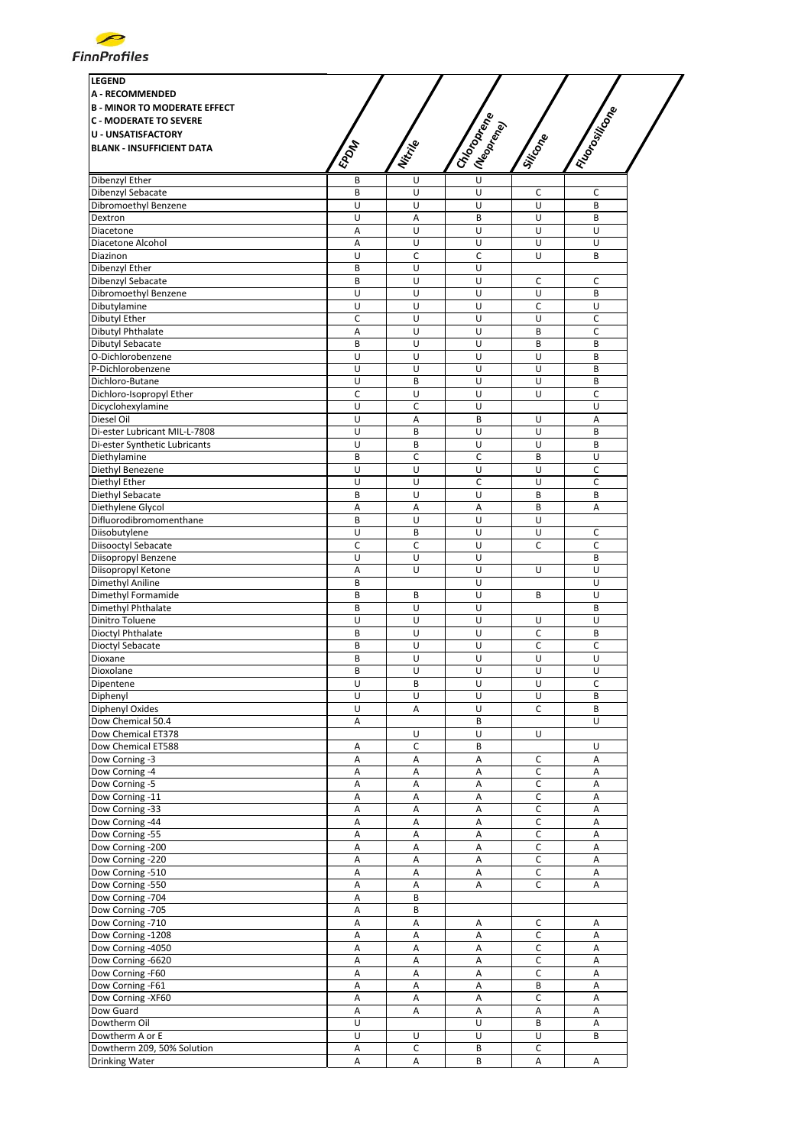

| <b>LEGEND</b><br><b>A - RECOMMENDED</b> |             |              |                                          |             |               |
|-----------------------------------------|-------------|--------------|------------------------------------------|-------------|---------------|
| <b>B - MINOR TO MODERATE EFFECT</b>     |             |              |                                          |             |               |
| <b>C - MODERATE TO SEVERE</b>           |             |              |                                          |             |               |
| <b>U - UNSATISFACTORY</b>               |             |              |                                          |             |               |
| <b>BLANK - INSUFFICIENT DATA</b>        | <b>EPOM</b> | Nitrille     | I Chooperance<br>I (Neopr <sub>ego</sub> | Silicone    | I Riongilleon |
|                                         |             |              | $\overline{U}$                           |             |               |
| Dibenzyl Ether                          | B           | U            |                                          |             |               |
| Dibenzyl Sebacate                       | B           | U            | U                                        | с           | c             |
| Dibromoethyl Benzene                    | U           | U            | U                                        | U           | B             |
| Dextron                                 | U           | A            | B                                        | U           | B             |
| Diacetone                               | Α           | U            | U                                        | U           | U             |
| Diacetone Alcohol                       | Α           | U            | U                                        | U           | U             |
| Diazinon                                | U           | C            | C                                        | U           | B             |
|                                         | B           | U            | U                                        |             |               |
| Dibenzyl Ether                          |             |              |                                          |             |               |
| Dibenzyl Sebacate                       | B           | U            | U                                        | c           | c             |
| Dibromoethyl Benzene                    | U           | U            | U                                        | U           | B             |
| Dibutylamine                            | U           | U            | U                                        | C           | U             |
| Dibutyl Ether                           | C           | U            | U                                        | U           | C             |
| Dibutyl Phthalate                       | Α           | U            | U                                        | B           | C             |
| Dibutyl Sebacate                        | B           | U            | U                                        | B           | B             |
|                                         |             |              |                                          |             |               |
| O-Dichlorobenzene                       | U           | U            | U                                        | U           | B             |
| P-Dichlorobenzene                       | U           | U            | U                                        | U           | B             |
| Dichloro-Butane                         | U           | B            | U                                        | U           | B             |
| Dichloro-Isopropyl Ether                | Ċ           | U            | U                                        | U           | C             |
| Dicyclohexylamine                       | U           | C            | U                                        |             | U             |
| Diesel Oil                              | U           |              | B                                        | U           | A             |
|                                         |             | Α            |                                          |             |               |
| Di-ester Lubricant MIL-L-7808           | U           | B            | U                                        | U           | B             |
| Di-ester Synthetic Lubricants           | U           | B            | U                                        | U           | B             |
| Diethylamine                            | B           | C            | $\mathsf C$                              | B           | U             |
| Diethyl Benezene                        | U           | U            | U                                        | U           | С             |
| Diethyl Ether                           | U           | U            | C                                        | U           | C             |
|                                         | B           | U            | U                                        | B           | B             |
| Diethyl Sebacate                        |             |              |                                          |             |               |
| Diethylene Glycol                       | A           | Α            | A                                        | B           | Α             |
| Difluorodibromomenthane                 | B           | U            | U                                        | U           |               |
| Diisobutylene                           | U           | B            | U                                        | U           | C             |
| Diisooctyl Sebacate                     | C           | $\mathsf{C}$ | U                                        | C           | C             |
| Diisopropyl Benzene                     | U           | U            | U                                        |             | B             |
|                                         |             |              |                                          |             |               |
| Diisopropyl Ketone                      | A           | U            | U                                        | U           | U             |
| Dimethyl Aniline                        | B           |              | U                                        |             | U             |
| Dimethyl Formamide                      | B           | B            | U                                        | B           | U             |
| Dimethyl Phthalate                      | B           | U            | U                                        |             | B             |
| Dinitro Toluene                         | U           | U            | U                                        | U           | U             |
| Dioctyl Phthalate                       | B           | U            | U                                        | C           | B             |
| Dioctyl Sebacate                        | B           | U            | U                                        | C           | $\mathsf C$   |
|                                         |             |              |                                          |             |               |
| Dioxane                                 | B           | U            | U                                        | U           | U             |
| Dioxolane                               | B           | U            | U                                        | U           | U             |
| Dipentene                               | U           | В            | U                                        | U           | C             |
| Diphenyl                                | U           | U            | U                                        | U           | B             |
| Diphenyl Oxides                         | U           | Α            | U                                        | С           | B             |
| Dow Chemical 50.4                       | Α           |              | B                                        |             | U             |
|                                         |             |              |                                          |             |               |
| Dow Chemical ET378                      |             | U            | U                                        | U           |               |
| Dow Chemical ET588                      | Α           | c            | В                                        |             | U             |
| Dow Corning -3                          | Α           | A            | Α                                        | С           | А             |
| Dow Corning -4                          | Α           | Α            | Α                                        | c           | Α             |
| Dow Corning -5                          | Α           | Α            | Α                                        | $\mathsf C$ | А             |
| Dow Corning -11                         | Α           | Α            | Α                                        | С           | Α             |
|                                         |             |              |                                          |             |               |
| Dow Corning -33                         | Α           | A            | Α                                        | C           | А             |
| Dow Corning -44                         | Α           | Α            | Α                                        | C           | Α             |
| Dow Corning -55                         | Α           | Α            | Α                                        | C           | Α             |
| Dow Corning -200                        | Α           | A            | А                                        | С           | А             |
| Dow Corning -220                        | Α           | Α            | А                                        | $\mathsf C$ | Α             |
| Dow Corning -510                        |             |              |                                          | $\mathsf C$ |               |
|                                         | Α           | A            | А                                        |             | Α             |
| Dow Corning -550                        | Α           | Α            | Α                                        | с           | Α             |
| Dow Corning -704                        | Α           | B            |                                          |             |               |
| Dow Corning -705                        | Α           | B            |                                          |             |               |
| Dow Corning -710                        | Α           | A            | Α                                        | С           | Α             |
| Dow Corning -1208                       | Α           | Α            | Α                                        | C           | Α             |
|                                         |             |              |                                          |             |               |
| Dow Corning -4050                       | Α           | Α            | Α                                        | $\mathsf C$ | Α             |
| Dow Corning -6620                       | Α           | A            | Α                                        | C           | Α             |
| Dow Corning -F60                        | Α           | Α            | Α                                        | C           | Α             |
| Dow Corning -F61                        | Α           | Α            | Α                                        | B           | Α             |
| Dow Corning -XF60                       | A           | Α            | А                                        | $\mathsf C$ | A             |
|                                         |             |              |                                          |             |               |
| Dow Guard                               | Α           | Α            | Α                                        | Α           | Α             |
| Dowtherm Oil                            | U           |              | U                                        | B           | Α             |
| Dowtherm A or E                         | U           | U            | U                                        | U           | B             |
| Dowtherm 209, 50% Solution              | Α           | C            | B                                        | C           |               |
| Drinking Water                          | А           | A            | B                                        | A           | A             |
|                                         |             |              |                                          |             |               |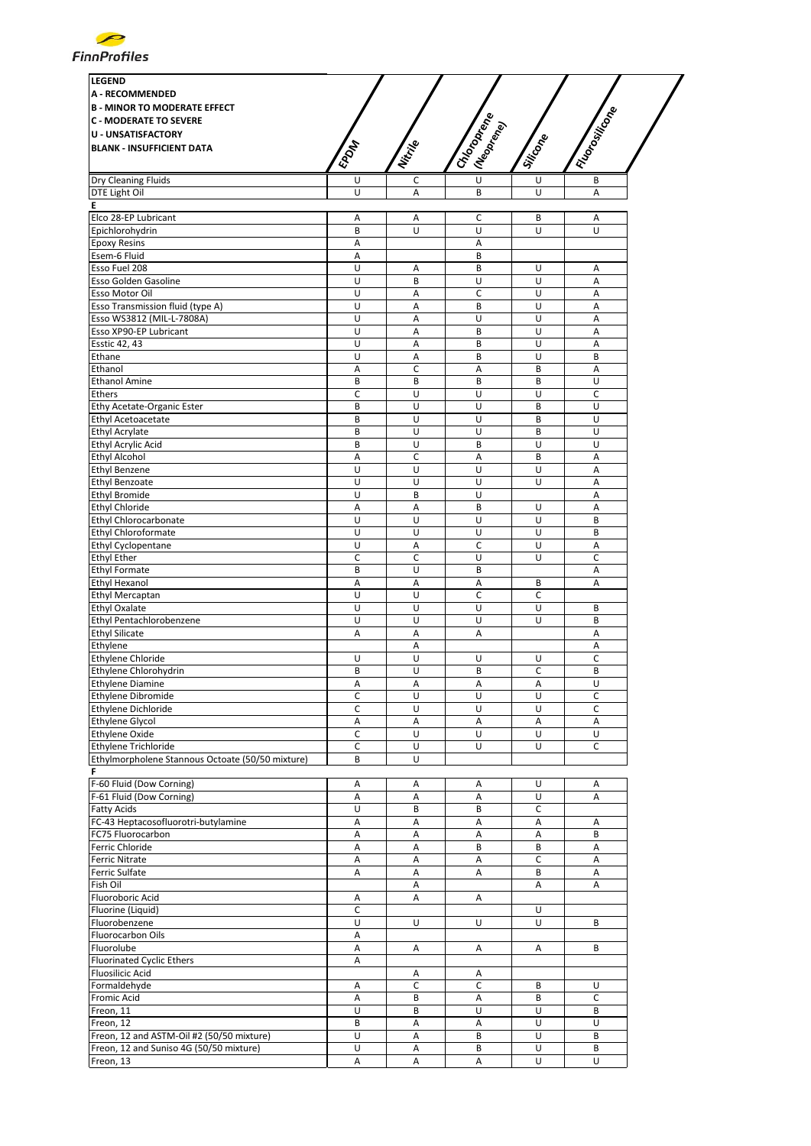

| <b>LEGEND</b><br><b>A - RECOMMENDED</b><br><b>B - MINOR TO MODERATE EFFECT</b><br><b>C - MODERATE TO SEVERE</b><br><b>U - UNSATISFACTORY</b><br><b>BLANK - INSUFFICIENT DATA</b> | EPON        | Nitrille     | I Choponena<br>(Neoprend) | Siticone    | I Riongillisme |
|----------------------------------------------------------------------------------------------------------------------------------------------------------------------------------|-------------|--------------|---------------------------|-------------|----------------|
| Dry Cleaning Fluids                                                                                                                                                              | U           | c            | $\overline{U}$            | U           | В              |
| DTE Light Oil                                                                                                                                                                    | U           | A            | B                         | U           | A              |
| Е<br>Elco 28-EP Lubricant                                                                                                                                                        |             |              |                           | B           |                |
| Epichlorohydrin                                                                                                                                                                  | Α<br>B      | Α<br>U       | C<br>U                    | U           | Α<br>U         |
| <b>Epoxy Resins</b>                                                                                                                                                              | А           |              | Α                         |             |                |
| Esem-6 Fluid                                                                                                                                                                     | Α           |              | B                         |             |                |
| Esso Fuel 208                                                                                                                                                                    | U           | Α            | B                         | U           | Α              |
| Esso Golden Gasoline                                                                                                                                                             | U           | B            | U                         | U           | А              |
| Esso Motor Oil                                                                                                                                                                   | U           | Α            | C                         | U           | A              |
| Esso Transmission fluid (type A)                                                                                                                                                 | U           | А            | B                         | U           | A              |
| Esso WS3812 (MIL-L-7808A)                                                                                                                                                        | U           | Α            | U                         | U           | Α              |
| Esso XP90-EP Lubricant                                                                                                                                                           | U           | Α            | B                         | U           | Α              |
| <b>Esstic 42, 43</b>                                                                                                                                                             | U           | Α            | B                         | U           | Α              |
| Ethane                                                                                                                                                                           | U           | A            | B                         | U           | B              |
| Ethanol<br><b>Ethanol Amine</b>                                                                                                                                                  | Α<br>B      | c<br>B       | Α<br>B                    | B<br>B      | A<br>U         |
| Ethers                                                                                                                                                                           | C           | U            | U                         | U           | $\mathsf{C}$   |
| Ethy Acetate-Organic Ester                                                                                                                                                       | B           | U            | U                         | B           | U              |
| Ethyl Acetoacetate                                                                                                                                                               | B           | U            | U                         | B           | U              |
| Ethyl Acrylate                                                                                                                                                                   | B           | U            | U                         | B           | U              |
| Ethyl Acrylic Acid                                                                                                                                                               | B           | U            | B                         | U           | U              |
| <b>Ethyl Alcohol</b>                                                                                                                                                             | А           | C            | Α                         | B           | A              |
| <b>Ethyl Benzene</b>                                                                                                                                                             | U           | U            | U                         | U           | A              |
| <b>Ethyl Benzoate</b>                                                                                                                                                            | U           | U            | U                         | U           | Α              |
| <b>Ethyl Bromide</b>                                                                                                                                                             | U           | B            | $\overline{U}$            |             | A              |
| Ethyl Chloride                                                                                                                                                                   | Α           | Α            | B                         | U           | Α              |
| Ethyl Chlorocarbonate                                                                                                                                                            | U           | U            | U                         | U           | B              |
| Ethyl Chloroformate                                                                                                                                                              | U           | U            | U                         | U           | B              |
| Ethyl Cyclopentane                                                                                                                                                               | U           | А            | C                         | U           | A              |
| <b>Ethyl Ether</b>                                                                                                                                                               | C           | $\mathsf{C}$ | U                         | U           | C              |
| <b>Ethyl Formate</b>                                                                                                                                                             | B           | U            | B                         |             | Α              |
| <b>Ethyl Hexanol</b>                                                                                                                                                             | Α           | Α            | Α                         | B           | Α              |
| <b>Ethyl Mercaptan</b>                                                                                                                                                           | U           | U            | c                         | с           |                |
| Ethyl Oxalate                                                                                                                                                                    | U           | U            | U                         | U           | B<br>B         |
| Ethyl Pentachlorobenzene<br><b>Ethyl Silicate</b>                                                                                                                                | U<br>А      | U<br>Α       | U<br>Α                    | U           | A              |
| Ethylene                                                                                                                                                                         |             | Α            |                           |             | Α              |
| Ethylene Chloride                                                                                                                                                                | U           | U            | U                         | U           | C              |
| Ethylene Chlorohydrin                                                                                                                                                            | B           | U            | B                         | $\mathsf C$ | B              |
| <b>Ethylene Diamine</b>                                                                                                                                                          | Α           | Α            | Α                         | Α           | U              |
| Ethylene Dibromide                                                                                                                                                               | C           | U            | U                         | U           | C              |
| Ethylene Dichloride                                                                                                                                                              | С           | U            | U                         | U           | С              |
| <b>Ethylene Glycol</b>                                                                                                                                                           | Α           | Α            | A                         | Α           | Α              |
| <b>Ethylene Oxide</b>                                                                                                                                                            | C           | U            | U                         | U           | U              |
| Ethylene Trichloride                                                                                                                                                             | C           | U            | U                         | U           | C              |
| Ethylmorpholene Stannous Octoate (50/50 mixture)                                                                                                                                 | B           | U            |                           |             |                |
|                                                                                                                                                                                  |             |              |                           |             |                |
| F-60 Fluid (Dow Corning)                                                                                                                                                         | Α           | Α            | Α                         | U<br>U      | Α              |
| F-61 Fluid (Dow Corning)<br><b>Fatty Acids</b>                                                                                                                                   | Α<br>U      | Α<br>B       | Α<br>B                    | C           | Α              |
| FC-43 Heptacosofluorotri-butylamine                                                                                                                                              | А           | Α            | Α                         | Α           | Α              |
| FC75 Fluorocarbon                                                                                                                                                                | А           | Α            | Α                         | Α           | B              |
| Ferric Chloride                                                                                                                                                                  | А           | Α            | B                         | B           | A              |
| Ferric Nitrate                                                                                                                                                                   | Α           | А            | Α                         | $\mathsf C$ | А              |
| Ferric Sulfate                                                                                                                                                                   | Α           | Α            | Α                         | B           | Α              |
| Fish Oil                                                                                                                                                                         |             | А            |                           | Α           | Α              |
| Fluoroboric Acid                                                                                                                                                                 | А           | Α            | Α                         |             |                |
| Fluorine (Liquid)                                                                                                                                                                | $\mathsf C$ |              |                           | U           |                |
| Fluorobenzene                                                                                                                                                                    | U           | U            | U                         | U           | B              |
| Fluorocarbon Oils                                                                                                                                                                | Α           |              |                           |             |                |
| Fluorolube                                                                                                                                                                       | Α           | Α            | Α                         | Α           | B              |
| <b>Fluorinated Cyclic Ethers</b>                                                                                                                                                 | А           |              |                           |             |                |
| <b>Fluosilicic Acid</b>                                                                                                                                                          |             | Α            | Α                         |             |                |
| Formaldehyde                                                                                                                                                                     | Α           | c            | C                         | B           | U              |
| Fromic Acid                                                                                                                                                                      | А           | B            | Α                         | B           | C              |
| Freon, 11                                                                                                                                                                        | U           | B            | U                         | U           | B              |
| Freon, 12                                                                                                                                                                        | B           | Α            | A                         | U           | U              |
| Freon, 12 and ASTM-Oil #2 (50/50 mixture)                                                                                                                                        | U           | Α            | B                         | U           | В              |
| Freon, 12 and Suniso 4G (50/50 mixture)                                                                                                                                          | U<br>Α      | Α<br>Α       | В<br>Α                    | U<br>U      | В<br>U         |
| Freon, 13                                                                                                                                                                        |             |              |                           |             |                |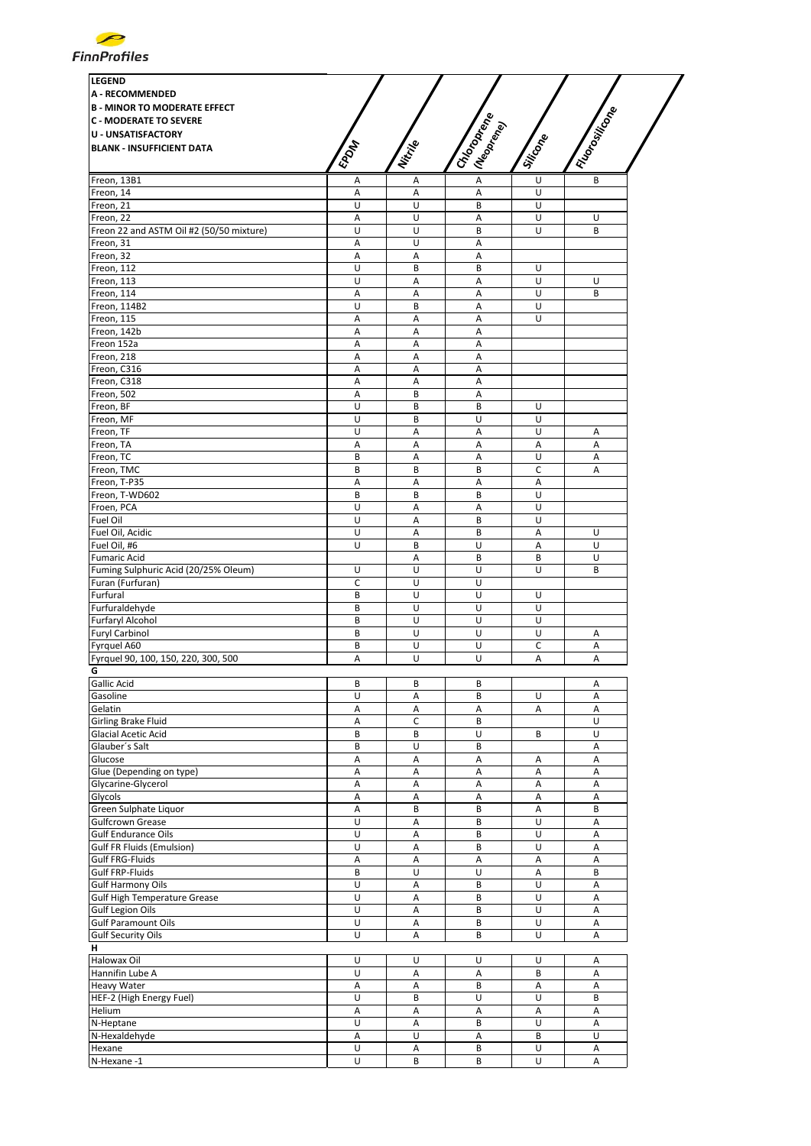

| <b>LEGEND</b><br><b>A - RECOMMENDED</b><br><b>B - MINOR TO MODERATE EFFECT</b><br><b>C - MODERATE TO SEVERE</b><br><b>U - UNSATISFACTORY</b><br><b>BLANK - INSUFFICIENT DATA</b> | EPOM    | Nitripe | I Chooperance<br>I (Neoprend) | Silicone | I Riongilleone |
|----------------------------------------------------------------------------------------------------------------------------------------------------------------------------------|---------|---------|-------------------------------|----------|----------------|
| Freon, 13B1                                                                                                                                                                      | Α       | Α       | A                             | U        | B              |
| Freon, 14                                                                                                                                                                        | Α       | Α       | Α                             | U        |                |
| Freon, 21                                                                                                                                                                        | U       | U       | B                             | U<br>U   |                |
| Freon, 22<br>Freon 22 and ASTM Oil #2 (50/50 mixture)                                                                                                                            | Α<br>U  | U<br>U  | Α<br>B                        | U        | U<br>B         |
| Freon, 31                                                                                                                                                                        | A       | U       | A                             |          |                |
| Freon, 32                                                                                                                                                                        | Α       | Α       | Α                             |          |                |
| Freon, 112                                                                                                                                                                       | U       | B       | B                             | U        |                |
| Freon, 113                                                                                                                                                                       | U       | A       | A                             | U        | U              |
| Freon, 114                                                                                                                                                                       | A       | A       | A                             | U        | B              |
| Freon, 114B2                                                                                                                                                                     | U       | B       | A                             | U        |                |
| Freon, 115                                                                                                                                                                       | Α       | Α       | А                             | U        |                |
| Freon, 142b<br>Freon 152a                                                                                                                                                        | Α<br>Α  | Α<br>Α  | A<br>Α                        |          |                |
| Freon, 218                                                                                                                                                                       | А       | A       | A                             |          |                |
| Freon, C316                                                                                                                                                                      | Α       | Α       | Α                             |          |                |
| Freon, C318                                                                                                                                                                      | Α       | Α       | Α                             |          |                |
| Freon, 502                                                                                                                                                                       | Α       | B       | Α                             |          |                |
| Freon, BF                                                                                                                                                                        | U       | B       | B                             | U        |                |
| Freon, MF                                                                                                                                                                        | U       | B       | U                             | U        |                |
| Freon, TF                                                                                                                                                                        | U       | A       | A                             | U        | A              |
| Freon, TA                                                                                                                                                                        | Α       | A       | A                             | Α        | $\overline{A}$ |
| Freon, TC                                                                                                                                                                        | B       | Α       | Α                             | U        | Α              |
| Freon, TMC<br>Freon, T-P35                                                                                                                                                       | B<br>А  | B<br>Α  | B<br>Α                        | C        | А              |
| Freon, T-WD602                                                                                                                                                                   | B       | B       | B                             | Α<br>U   |                |
| Froen, PCA                                                                                                                                                                       | U       | A       | A                             | U        |                |
| Fuel Oil                                                                                                                                                                         | U       | A       | B                             | U        |                |
| Fuel Oil, Acidic                                                                                                                                                                 | U       | Α       | B                             | Α        | U              |
| Fuel Oil, #6                                                                                                                                                                     | U       | B       | U                             | Α        | U              |
| <b>Fumaric Acid</b>                                                                                                                                                              |         | Α       | B                             | B        | U              |
| Fuming Sulphuric Acid (20/25% Oleum)                                                                                                                                             | U       | U       | U                             | U        | B              |
| Furan (Furfuran)                                                                                                                                                                 | C       | U       | U                             |          |                |
| Furfural                                                                                                                                                                         | B       | U       | U                             | U        |                |
| Furfuraldehyde                                                                                                                                                                   | B       | U       | U                             | U        |                |
| Furfaryl Alcohol                                                                                                                                                                 | B       | U<br>U  | U<br>U                        | U<br>U   |                |
| <b>Furyl Carbinol</b><br>Fyrguel A60                                                                                                                                             | B<br>B  | U       | U                             | C        | Α<br>Α         |
| Fyrquel 90, 100, 150, 220, 300, 500                                                                                                                                              | A       | U       | U                             | A        | Α              |
| G                                                                                                                                                                                |         |         |                               |          |                |
| Gallic Acid                                                                                                                                                                      | В       | В       | В                             |          | Α              |
| Gasoline                                                                                                                                                                         | U       | Α       | B                             | U        | Α              |
| Gelatin                                                                                                                                                                          | Α       | А       | А                             | Α        | Α              |
| Girling Brake Fluid                                                                                                                                                              | Α       | C       | B                             |          | U              |
| Glacial Acetic Acid                                                                                                                                                              | B       | B       | U                             | B        | U              |
| Glauber's Salt                                                                                                                                                                   | B       | U       | B                             |          | $\overline{A}$ |
| Glucose                                                                                                                                                                          | Α       | А       | А                             | Α        | Α              |
| Glue (Depending on type)<br>Glycarine-Glycerol                                                                                                                                   | Α       | А       | Α<br>А                        | Α        | Α              |
| Glycols                                                                                                                                                                          | Α<br>Α  | Α<br>Α  | Α                             | Α<br>A   | Α<br>Α         |
| Green Sulphate Liquor                                                                                                                                                            | Α       | B       | В                             | Α        | B              |
| Gulfcrown Grease                                                                                                                                                                 | U       | А       | B                             | U        | А              |
| <b>Gulf Endurance Oils</b>                                                                                                                                                       | U       | Α       | B                             | U        | Α              |
| <b>Gulf FR Fluids (Emulsion)</b>                                                                                                                                                 | U       | Α       | B                             | U        | Α              |
| Gulf FRG-Fluids                                                                                                                                                                  | Α       | Α       | Α                             | Α        | Α              |
| Gulf FRP-Fluids                                                                                                                                                                  | B       | U       | U                             | Α        | B              |
| Gulf Harmony Oils                                                                                                                                                                | U       | Α       | В                             | U        | Α              |
| <b>Gulf High Temperature Grease</b>                                                                                                                                              | U       | А       | B                             | U        | $\overline{A}$ |
| <b>Gulf Legion Oils</b>                                                                                                                                                          | U       | А       | B                             | U        | Α              |
| <b>Gulf Paramount Oils</b>                                                                                                                                                       | U<br>U  | Α       | В                             | U<br>U   | Α              |
| <b>Gulf Security Oils</b><br>н                                                                                                                                                   |         | Α       | B                             |          | Α              |
| Halowax Oil                                                                                                                                                                      | U       | U       | U                             | U        | Α              |
| Hannifin Lube A                                                                                                                                                                  | U       | Α       | А                             | B        | A              |
| <b>Heavy Water</b>                                                                                                                                                               | Α       | Α       | B                             | A        | Α              |
| HEF-2 (High Energy Fuel)                                                                                                                                                         | $\sf U$ | B       | U                             | U        | B              |
| Helium                                                                                                                                                                           | Α       | А       | А                             | Α        | Α              |
| N-Heptane                                                                                                                                                                        | U       | Α       | B                             | U        | Α              |
| N-Hexaldehyde                                                                                                                                                                    | А       | U       | Α                             | B        | U              |
| Hexane                                                                                                                                                                           | U       | Α       | B                             | U        | Α              |
| N-Hexane-1                                                                                                                                                                       | U       | B       | B                             | U        | Α              |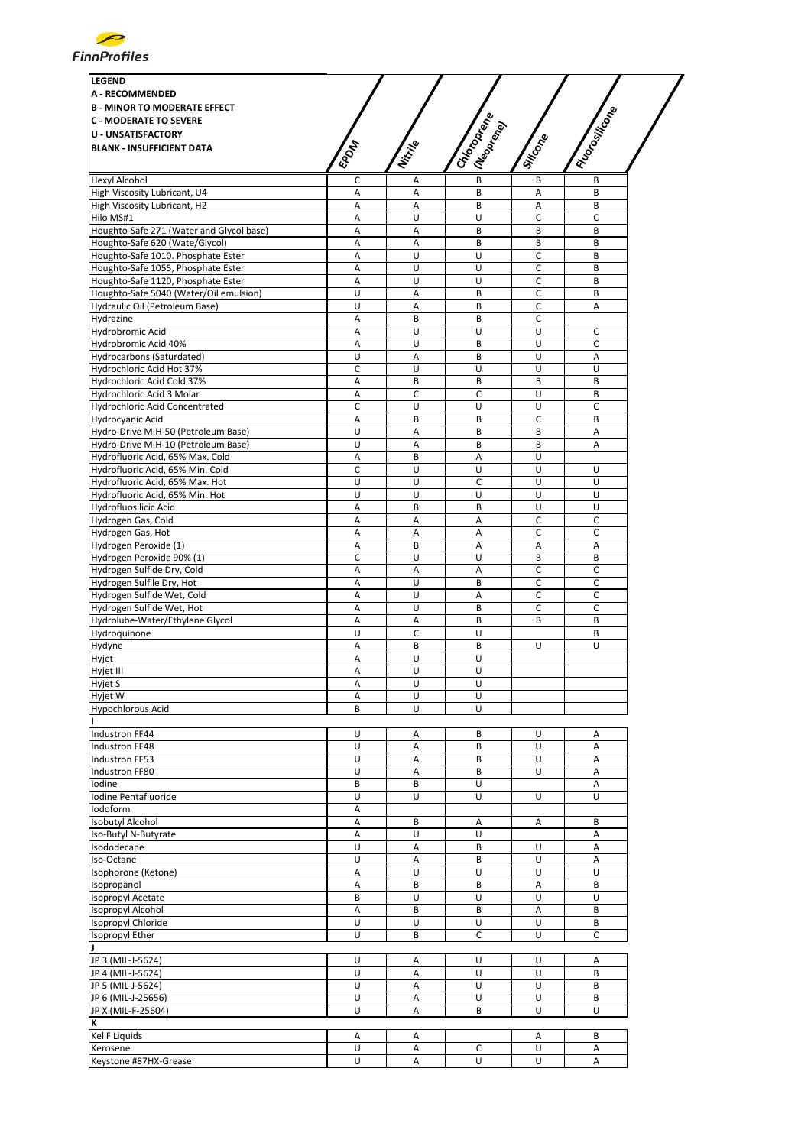

| <b>LEGEND</b><br><b>A - RECOMMENDED</b><br><b>B - MINOR TO MODERATE EFFECT</b><br><b>C - MODERATE TO SEVERE</b><br><b>U - UNSATISFACTORY</b><br><b>BLANK - INSUFFICIENT DATA</b> | EPOM        | Nitrije           | ICHOTORIAL<br>I (Neoprend) | Silicone | I Honorition |
|----------------------------------------------------------------------------------------------------------------------------------------------------------------------------------|-------------|-------------------|----------------------------|----------|--------------|
| <b>Hexyl Alcohol</b>                                                                                                                                                             | с           | Α                 | B                          | B        | B            |
| High Viscosity Lubricant, U4                                                                                                                                                     | А           | А                 | B                          | Α        | B            |
| High Viscosity Lubricant, H2                                                                                                                                                     | Α           | Α                 | B                          | Α        | B            |
| Hilo MS#1                                                                                                                                                                        | A           | U                 | U                          | C        | C            |
| Houghto-Safe 271 (Water and Glycol base)                                                                                                                                         | А           | A                 | В                          | B        | B            |
| Houghto-Safe 620 (Wate/Glycol)                                                                                                                                                   | А           | Α                 | B                          | B        | B            |
| Houghto-Safe 1010. Phosphate Ester                                                                                                                                               | Α           | U                 | U                          | C        | B            |
| Houghto-Safe 1055, Phosphate Ester                                                                                                                                               | Α           | U                 | U                          | C        | B            |
| Houghto-Safe 1120, Phosphate Ester                                                                                                                                               | А           | U                 | U                          | C        | B            |
| Houghto-Safe 5040 (Water/Oil emulsion)                                                                                                                                           | U           | A                 | B                          | C        | B            |
| Hydraulic Oil (Petroleum Base)                                                                                                                                                   | U           | Α                 | B                          | C        | Α            |
| Hydrazine                                                                                                                                                                        | Α           | B                 | B                          | C        |              |
| Hydrobromic Acid                                                                                                                                                                 | Α           | U                 | U                          | U        | С            |
| Hydrobromic Acid 40%                                                                                                                                                             | А           | U                 | В                          | U        | C            |
| Hydrocarbons (Saturdated)                                                                                                                                                        | U           | Α                 | B                          | U        | А            |
| Hydrochloric Acid Hot 37%                                                                                                                                                        | C           | U                 | U                          | U        | U            |
| Hydrochloric Acid Cold 37%                                                                                                                                                       | А           | B                 | B                          | B        | B            |
| Hydrochloric Acid 3 Molar                                                                                                                                                        | Α           | C                 | С                          | U        | B            |
| Hydrochloric Acid Concentrated                                                                                                                                                   | $\mathsf C$ | U                 | U                          | U        | C            |
| Hydrocyanic Acid                                                                                                                                                                 | Α           | B                 | B                          | C        | B            |
| Hydro-Drive MIH-50 (Petroleum Base)                                                                                                                                              | U           | А                 | B                          | B        | Α            |
| Hydro-Drive MIH-10 (Petroleum Base)                                                                                                                                              | U           | Α                 | B                          | B        | Α            |
| Hydrofluoric Acid, 65% Max. Cold                                                                                                                                                 | А           | B                 | A                          | U        |              |
| Hydrofluoric Acid, 65% Min. Cold                                                                                                                                                 | C           | U                 | U                          | U        | U            |
| Hydrofluoric Acid, 65% Max. Hot                                                                                                                                                  | U           | U                 | C                          | Ù        | U            |
| Hydrofluoric Acid, 65% Min. Hot                                                                                                                                                  | U           | U                 | U                          | U        | U            |
| Hydrofluosilicic Acid                                                                                                                                                            | Α           | B                 | B                          | U        | U            |
| Hydrogen Gas, Cold                                                                                                                                                               | A           | Α                 | Α                          | C        | C            |
| Hydrogen Gas, Hot                                                                                                                                                                | А           | А                 | A                          | C        | C            |
| Hydrogen Peroxide (1)                                                                                                                                                            | Α           | B                 | А                          | А        | А            |
| Hydrogen Peroxide 90% (1)                                                                                                                                                        | C           | U                 | U                          | B        | B            |
| Hydrogen Sulfide Dry, Cold                                                                                                                                                       | А           | Α                 | Α                          | C        | C            |
| Hydrogen Sulfile Dry, Hot                                                                                                                                                        | Α           | U                 | B                          | C        | C            |
| Hydrogen Sulfide Wet, Cold                                                                                                                                                       | Α           | U                 | Α                          | C        | C            |
| Hydrogen Sulfide Wet, Hot<br>Hydrolube-Water/Ethylene Glycol                                                                                                                     | А           | U                 | B                          | C        | C            |
|                                                                                                                                                                                  | А<br>U      | А<br>$\mathsf{C}$ | B<br>U                     | B        | B<br>B       |
| Hydroquinone                                                                                                                                                                     |             |                   | B                          | U        | U            |
| Hydyne<br>Hyjet                                                                                                                                                                  | Α<br>Α      | B<br>U            | U                          |          |              |
| Hyjet III                                                                                                                                                                        | Α           | U                 | U                          |          |              |
| Hyjet S                                                                                                                                                                          | Α           | U                 | U                          |          |              |
| Hyjet W                                                                                                                                                                          | Α           | U                 | U                          |          |              |
| <b>Hypochlorous Acid</b>                                                                                                                                                         | B           | U                 | U                          |          |              |
|                                                                                                                                                                                  |             |                   |                            |          |              |
| Industron FF44                                                                                                                                                                   | U           | Α                 | В                          | U        | Α            |
| Industron FF48                                                                                                                                                                   | U           | Α                 | В                          | U        | Α            |
| Industron FF53                                                                                                                                                                   | U           | A                 | B                          | U        | A            |
| Industron FF80                                                                                                                                                                   | U           | А                 | B                          | U        | Α            |
| Iodine                                                                                                                                                                           | B           | B                 | U                          |          | Α            |
| Iodine Pentafluoride                                                                                                                                                             | U           | U                 | U                          | U        | U            |
| Iodoform                                                                                                                                                                         | Α           |                   |                            |          |              |
| <b>Isobutyl Alcohol</b>                                                                                                                                                          | Α           | B                 | А                          | Α        | B            |
| Iso-Butyl N-Butyrate                                                                                                                                                             | Α           | U                 | U                          |          | Α            |
| Isododecane                                                                                                                                                                      | U           | А                 | B                          | U        | A            |
| Iso-Octane                                                                                                                                                                       | U           | Α                 | В                          | U        | Α            |
| Isophorone (Ketone)                                                                                                                                                              | Α           | U                 | U                          | U        | U            |
| Isopropanol                                                                                                                                                                      | Α           | B                 | B                          | Α        | B            |
| Isopropyl Acetate                                                                                                                                                                | B           | U                 | U                          | U        | U            |
| Isopropyl Alcohol                                                                                                                                                                | Α           | B                 | B                          | Α        | B            |
| Isopropyl Chloride                                                                                                                                                               | U           | U                 | U                          | U        | B            |
| Isopropyl Ether                                                                                                                                                                  | U           | B                 | С                          | U        | С            |
| J.                                                                                                                                                                               |             |                   |                            |          |              |
| JP 3 (MIL-J-5624)                                                                                                                                                                | U           | Α                 | U                          | U        | Α            |
| JP 4 (MIL-J-5624)                                                                                                                                                                | U           | Α                 | U                          | U        | В            |
| JP 5 (MIL-J-5624)                                                                                                                                                                | U           | Α                 | U                          | U        | В            |
| JP 6 (MIL-J-25656)                                                                                                                                                               | U           | A                 | U                          | U        | B            |
| JP X (MIL-F-25604)                                                                                                                                                               | U           | Α                 | B                          | U        | U            |
| к                                                                                                                                                                                |             |                   |                            |          |              |
| Kel F Liquids                                                                                                                                                                    | Α           | Α                 |                            | Α        | B            |
| Kerosene                                                                                                                                                                         | U           | Α                 | c                          | U        | Α            |
| Keystone #87HX-Grease                                                                                                                                                            | U           | Α                 | U                          | U        | Α            |
|                                                                                                                                                                                  |             |                   |                            |          |              |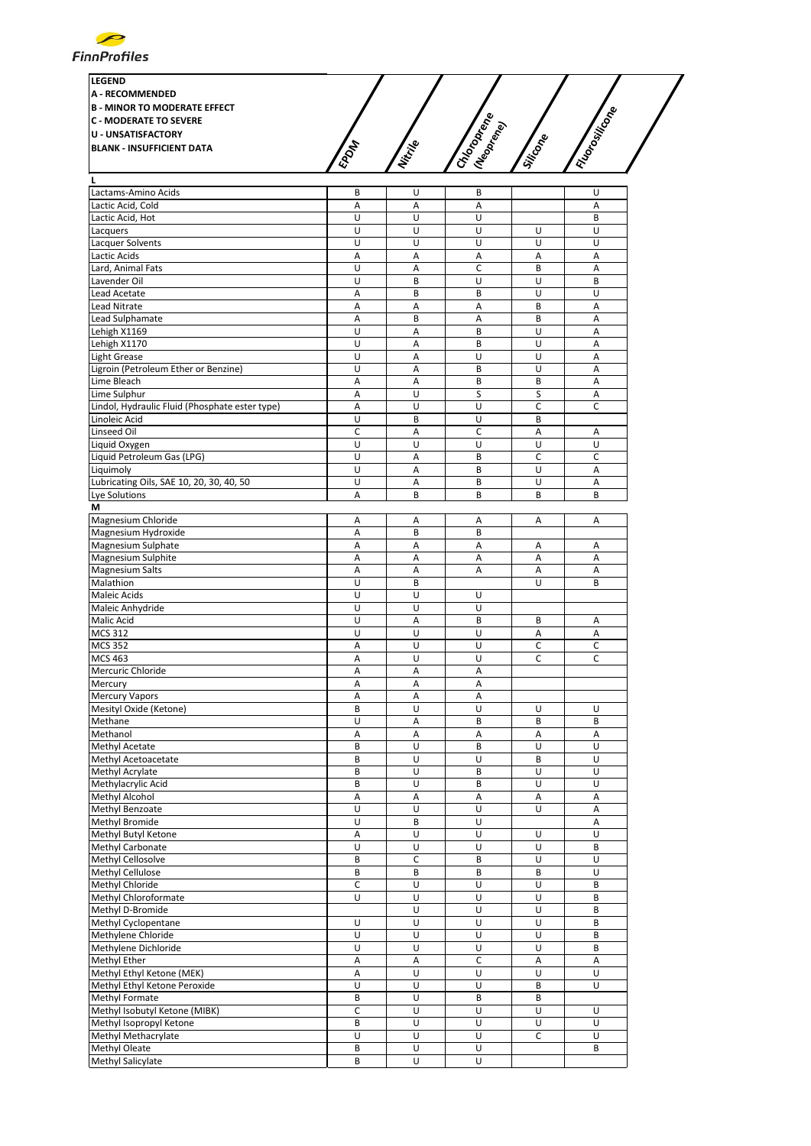

| <b>LEGEND</b><br><b>A - RECOMMENDED</b><br><b>B - MINOR TO MODERATE EFFECT</b>                 |      | ىم                                                                                          |                               |  |
|------------------------------------------------------------------------------------------------|------|---------------------------------------------------------------------------------------------|-------------------------------|--|
| <b>C - MODERATE TO SEVERE</b><br><b>U - UNSATISFACTORY</b><br><b>BLANK - INSUFFICIENT DATA</b> | EPON | .T<br>$s^{\mathcal{C}}$<br>$\mathcal{S}_{\mathbf{Q}_1}$<br>Nitrie<br><b>Report</b><br>$z_c$ | Tositicone<br>Siticope<br>290 |  |

| Lactams-Amino Acids                            | В              | U              | В |   | U              |
|------------------------------------------------|----------------|----------------|---|---|----------------|
| Lactic Acid, Cold                              | $\overline{A}$ | A              | A |   | Α              |
| Lactic Acid, Hot                               | U              | U              | U |   | B              |
| Lacquers                                       | U              | U              | U | U | U              |
|                                                | U              | U              | U | U | U              |
| Lacquer Solvents                               |                |                |   |   |                |
| Lactic Acids                                   | A              | A              | Α | Α | A              |
| Lard, Animal Fats                              | U              | A              | C | B | A              |
| Lavender Oil                                   | U              | B              | U | U | B              |
| Lead Acetate                                   | Α              | B              | B | U | U              |
| Lead Nitrate                                   | Α              | Α              | Α | B | A              |
| Lead Sulphamate                                | Α              | B              | Α | B | A              |
| Lehigh X1169                                   | U              | Α              | B | U | Α              |
| Lehigh X1170                                   | U              | $\overline{A}$ | B | U | $\overline{A}$ |
|                                                |                |                |   |   |                |
| <b>Light Grease</b>                            | U              | A              | U | U | A              |
| Ligroin (Petroleum Ether or Benzine)           | U              | Α              | B | U | Α              |
| Lime Bleach                                    | A              | A              | B | B | A              |
| Lime Sulphur                                   | Α              | U              | S | S | Α              |
| Lindol, Hydraulic Fluid (Phosphate ester type) | A              | U              | U | C | C              |
| Linoleic Acid                                  | U              | B              | U | B |                |
|                                                |                |                |   |   |                |
| Linseed Oil                                    | C              | Α              | C | Α | Α              |
| Liquid Oxygen                                  | U              | U              | U | U | U              |
| Liquid Petroleum Gas (LPG)                     | U              | A              | B | C | $\mathsf{C}$   |
| Liquimoly                                      | U              | Α              | B | U | Α              |
| Lubricating Oils, SAE 10, 20, 30, 40, 50       | U              | Α              | B | U | Α              |
| Lye Solutions                                  | $\overline{A}$ | B              | B | B | B              |
| М                                              |                |                |   |   |                |
|                                                |                |                |   |   |                |
| Magnesium Chloride                             | Α              | А              | Α | Α | Α              |
| Magnesium Hydroxide                            | A              | B              | B |   |                |
| Magnesium Sulphate                             | Α              | Α              | Α | Α | Α              |
| Magnesium Sulphite                             | Α              | Α              | Α | Α | Α              |
| <b>Magnesium Salts</b>                         | A              | A              | A | A | A              |
| Malathion                                      | U              | B              |   | U | B              |
| Maleic Acids                                   | U              | U              | U |   |                |
|                                                |                |                |   |   |                |
| Maleic Anhydride                               | U              | U              | U |   |                |
| Malic Acid                                     | U              | Α              | B | B | Α              |
| <b>MCS 312</b>                                 | U              | U              | U | Α | Α              |
| <b>MCS 352</b>                                 | A              | U              | U | C | C              |
| <b>MCS 463</b>                                 | Α              | U              | U | C | C              |
| Mercuric Chloride                              | Α              | Α              | Α |   |                |
| Mercury                                        | Α              | Α              | Α |   |                |
|                                                |                |                |   |   |                |
| <b>Mercury Vapors</b>                          | Α              | Α              | Α |   |                |
| Mesityl Oxide (Ketone)                         | B              | U              | U | U | U              |
| Methane                                        | U              | Α              | B | B | B              |
| Methanol                                       | A              | A              | A | A | A              |
| Methyl Acetate                                 | B              | U              | B | U | U              |
| Methyl Acetoacetate                            | B              | U              | U | B | U              |
|                                                | B              | U              | B | U | U              |
| Methyl Acrylate                                |                |                |   |   |                |
| Methylacrylic Acid                             | B              | U              | B | U | U              |
| <b>Methyl Alcohol</b>                          | A              | A              | A | A | A              |
| Methyl Benzoate                                | U              | U              | U | U | Α              |
| Methyl Bromide                                 | U              | B              | U |   | A              |
| Methyl Butyl Ketone                            | Α              | U              | U | U | U              |
| Methyl Carbonate                               | U              | $\cup$         | U | U | B              |
|                                                |                |                |   |   |                |
| Methyl Cellosolve                              | B              | C              | В | U | U              |
| Methyl Cellulose                               | B              | B              | B | B | U              |
| Methyl Chloride                                | $\mathsf C$    | U              | U | U | B              |
| Methyl Chloroformate                           | U              | U              | U | U | B              |
| Methyl D-Bromide                               |                | $\sf U$        | U | U | B              |
| Methyl Cyclopentane                            | U              | $\overline{U}$ | U | U | B              |
| Methylene Chloride                             | U              | U              | U | U | B              |
|                                                | U              | U              | U | U |                |
| Methylene Dichloride                           |                |                |   |   | B              |
| Methyl Ether                                   | Α              | Α              | С | A | Α              |
| Methyl Ethyl Ketone (MEK)                      | Α              | U              | U | U | U              |
| Methyl Ethyl Ketone Peroxide                   | U              | U              | U | B | U              |
| Methyl Formate                                 | B              | U              | B | B |                |
| Methyl Isobutyl Ketone (MIBK)                  | $\mathsf C$    | $\cup$         | U | U | U              |
| Methyl Isopropyl Ketone                        | В              | U              | U | U | U              |
|                                                |                |                |   |   |                |
| Methyl Methacrylate                            | U              | $\overline{U}$ | U | C | U              |
| Methyl Oleate                                  |                |                | U |   | B              |
| Methyl Salicylate                              | B<br>B         | U<br>U         | U |   |                |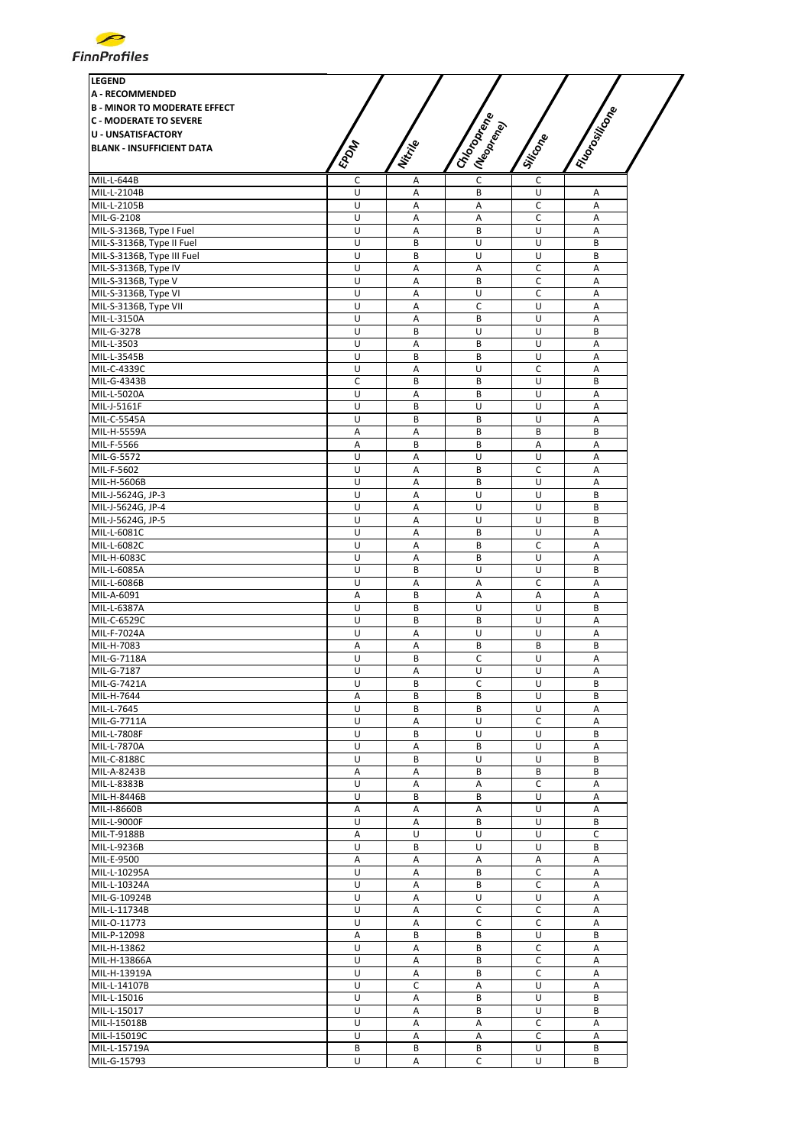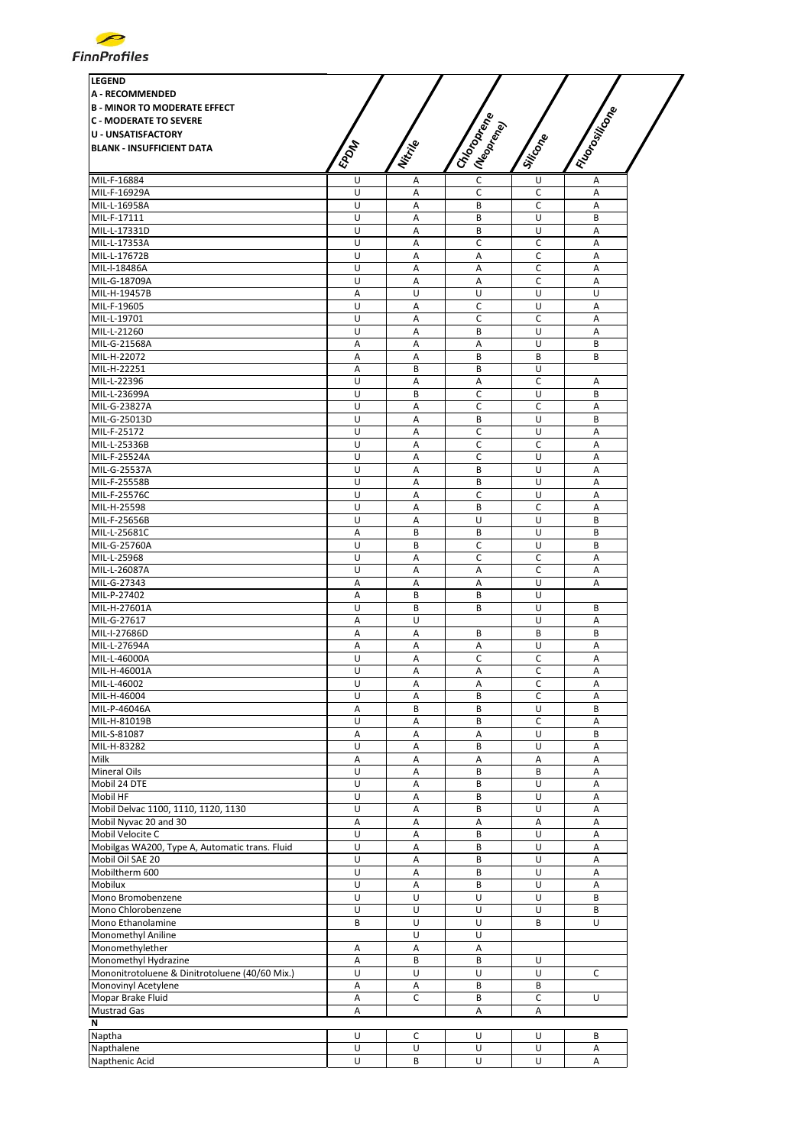| <b>LEGEND</b>                                  |                |                |               |             |                 |
|------------------------------------------------|----------------|----------------|---------------|-------------|-----------------|
| <b>A - RECOMMENDED</b>                         |                |                |               |             |                 |
| <b>B - MINOR TO MODERATE EFFECT</b>            |                |                |               |             |                 |
| <b>C - MODERATE TO SEVERE</b>                  |                |                |               |             |                 |
| <b>U - UNSATISFACTORY</b>                      |                |                |               |             |                 |
| <b>BLANK - INSUFFICIENT DATA</b>               |                |                |               |             |                 |
|                                                | <b>EPDAT</b>   | Nitrille       | I Chooperance | Silicone    |                 |
|                                                |                |                | I (Neoprend)  |             | I Florositicone |
| MIL-F-16884                                    | U              | А              | C             | U           | Α               |
| MIL-F-16929A                                   | U              | Α              | С             | С           | Α               |
| MIL-L-16958A<br>MIL-F-17111                    | U              | Α              | B             | С           | Α               |
| MIL-L-17331D                                   | U<br>U         | A<br>Α         | B<br>B        | U<br>U      | B<br>A          |
| MIL-L-17353A                                   | U              | Α              | C             | с           | Α               |
| MIL-L-17672B                                   | U              | Α              | Α             | C           | A               |
| MIL-I-18486A                                   | U              | Α              | Α             | с           | Α               |
| MIL-G-18709A                                   | U              | A              | A             | C           | $\overline{A}$  |
| MIL-H-19457B                                   | Α              | U              | U             | U           | U               |
| MIL-F-19605                                    | U              | A              | C             | U           | A               |
| MIL-L-19701                                    | U              | Α              | C             | С           | A               |
| MIL-L-21260                                    | U              | Α              | B             | U           | Α               |
| MIL-G-21568A                                   | Α              | Α              | Α             | U           | B               |
| MIL-H-22072                                    | Α              | Α              | B             | B           | B               |
| MIL-H-22251                                    | A              | B              | B             | U           |                 |
| MIL-L-22396                                    | U              | A              | Α             | C           | A               |
| MIL-L-23699A                                   | U              | B              | Ċ             | U           | B               |
| MIL-G-23827A                                   | U              | Α              | С             | C           | Α               |
| MIL-G-25013D                                   | U              | A              | B             | U           | B               |
| MIL-F-25172                                    | U              | Α              | C             | U           | Α               |
| MIL-L-25336B                                   | U              | Α              | C             | C           | A               |
| MIL-F-25524A                                   | U              | A              | C             | U           | A               |
| MIL-G-25537A                                   | U<br>U         | Α              | B<br>B        | U<br>U      | A<br>A          |
| MIL-F-25558B<br>MIL-F-25576C                   | U              | Α<br>Α         | C             | U           | Α               |
| MIL-H-25598                                    | U              | Α              | B             | C           | A               |
| MIL-F-25656B                                   | U              | Α              | U             | U           | B               |
| MIL-L-25681C                                   | A              | B              | B             | U           | B               |
| MIL-G-25760A                                   | U              | B              | C             | U           | B               |
| MIL-L-25968                                    | U              | A              | Ċ             | C           | $\overline{A}$  |
| MIL-L-26087A                                   | U              | Α              | Α             | с           | Α               |
| MIL-G-27343                                    | Α              | Α              | Α             | U           | Α               |
| MIL-P-27402                                    | Α              | B              | B             | U           |                 |
| MIL-H-27601A                                   | U              | B              | B             | U           | B               |
| MIL-G-27617                                    | Α              | U              |               | U           | Α               |
| MIL-I-27686D                                   | Α              | A              | B             | B           | B               |
| MIL-L-27694A                                   | А              | Α              | Α             | U           | Α               |
| MIL-L-46000A                                   | U              | Α              | C             | $\mathsf C$ | Α               |
| MIL-H-46001A                                   | U              | А              | Α             | C           | Α               |
| MIL-L-46002                                    | U              | Α              | Α             | C           | Α               |
| MIL-H-46004                                    | U              | $\mathsf A$    | B             | C           | А               |
| MIL-P-46046A                                   | Α              | В              | B             | U           | B               |
| MIL-H-81019B                                   | U              | Α              | B             | C<br>U      | Α<br>B          |
| MIL-S-81087<br>MIL-H-83282                     | Α<br>U         | Α<br>А         | Α<br>B        | U           | Α               |
| Milk                                           | Α              | А              | Α             | Α           | A               |
| Mineral Oils                                   | U              | А              | B             | B           | $\overline{A}$  |
| Mobil 24 DTE                                   | U              | А              | B             | U           | А               |
| Mobil HF                                       | U              | Α              | B             | U           | Α               |
| Mobil Delvac 1100, 1110, 1120, 1130            | U              | А              | B             | U           | А               |
| Mobil Nyvac 20 and 30                          | Α              | А              | А             | Α           | Α               |
| Mobil Velocite C                               | U              | Α              | B             | U           | А               |
| Mobilgas WA200, Type A, Automatic trans. Fluid | U              | А              | B             | U           | Α               |
| Mobil Oil SAE 20                               | U              | А              | B             | U           | А               |
| Mobiltherm 600                                 | U              | Α              | B             | U           | Α               |
| Mobilux                                        | $\overline{U}$ | А              | B             | U           | А               |
| Mono Bromobenzene                              | U              | U              | U             | U           | B               |
| Mono Chlorobenzene                             | U              | U              | U             | U           | B               |
| Mono Ethanolamine                              | B              | U              | U             | B           | U               |
| Monomethyl Aniline                             |                | U              | U             |             |                 |
| Monomethylether                                | Α              | А              | Α             |             |                 |
| Monomethyl Hydrazine                           | А              | B              | B             | U           |                 |
| Mononitrotoluene & Dinitrotoluene (40/60 Mix.) | U              | U              | U             | U           | C               |
| Monovinyl Acetylene                            | Α              | Α              | В             | В           |                 |
| Mopar Brake Fluid                              | А              | $\overline{C}$ | B             | C           | U               |
| Mustrad Gas<br>N                               | Α              |                | Α             | Α           |                 |
| Naptha                                         | U              |                | U             | U           | B               |
|                                                | U              | C<br>U         | U             | U           |                 |
| Napthalene                                     |                |                |               |             | Α               |
| Napthenic Acid                                 | U              | В              | U             | U           | Α               |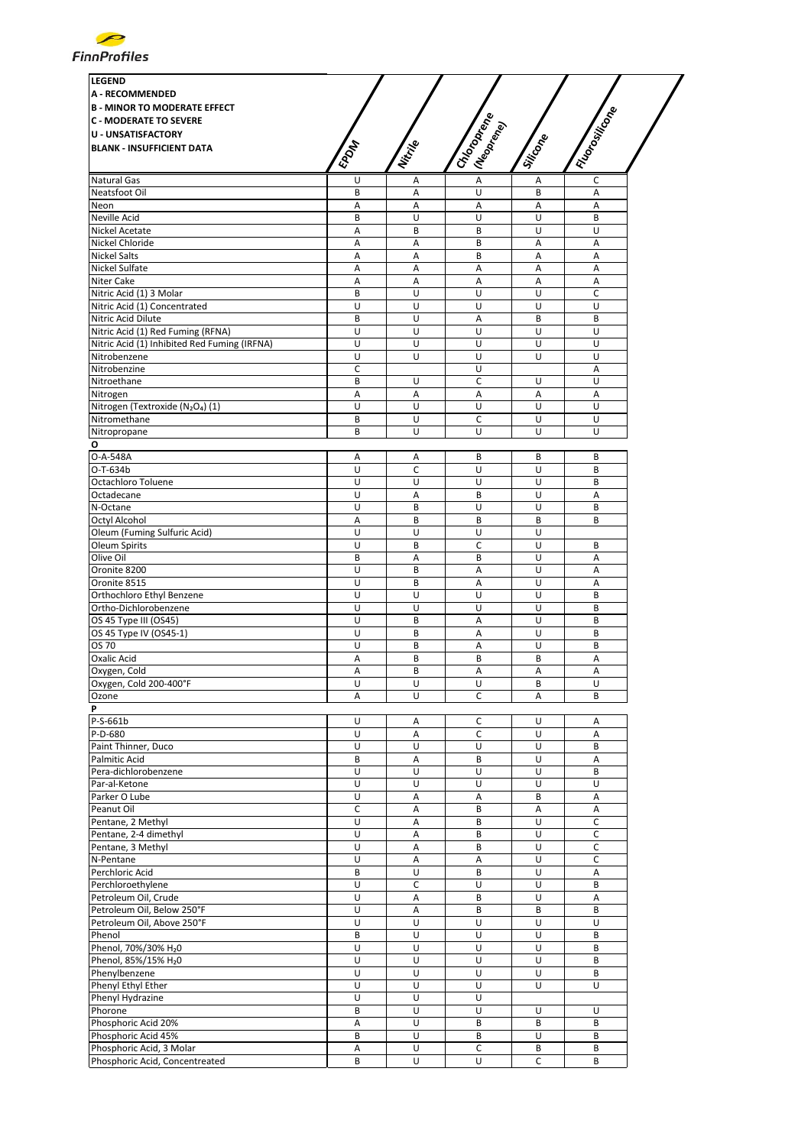

| <b>LEGEND</b>                                                             |                |                     |                                 |          |                |
|---------------------------------------------------------------------------|----------------|---------------------|---------------------------------|----------|----------------|
| <b>A - RECOMMENDED</b>                                                    |                |                     |                                 |          |                |
| <b>B - MINOR TO MODERATE EFFECT</b>                                       |                |                     |                                 |          |                |
| <b>C - MODERATE TO SEVERE</b>                                             |                |                     |                                 |          |                |
| <b>U - UNSATISFACTORY</b>                                                 |                |                     |                                 |          |                |
| <b>BLANK - INSUFFICIENT DATA</b>                                          | EPOM           | Nitrije             | I Chocoperation<br>I (Neoprend) | Silicone | I Hanswitcom   |
|                                                                           |                |                     |                                 |          |                |
| <b>Natural Gas</b>                                                        | U              | Α                   | $\overline{A}$                  | Α        | C              |
| Neatsfoot Oil                                                             | B              | A                   | U                               | B        | Α              |
| Neon                                                                      | Α              | Α                   | A                               | Α        | Α              |
| Neville Acid                                                              | B              | U                   | U                               | U        | B              |
| Nickel Acetate                                                            | Α              | B                   | B                               | U        | U              |
| Nickel Chloride<br><b>Nickel Salts</b>                                    | Α<br>Α         | $\overline{A}$<br>Α | B<br>B                          | A<br>Α   | A<br>А         |
| Nickel Sulfate                                                            | A              | Α                   | Α                               | Α        | $\overline{A}$ |
| Niter Cake                                                                | A              | A                   | A                               | A        | Α              |
| Nitric Acid (1) 3 Molar                                                   | B              | U                   | U                               | U        | C              |
| Nitric Acid (1) Concentrated                                              | U              | U                   | U                               | U        | U              |
| Nitric Acid Dilute                                                        | B              | U                   | A                               | B        | B              |
| Nitric Acid (1) Red Fuming (RFNA)                                         | U              | U                   | U                               | U        | U              |
| Nitric Acid (1) Inhibited Red Fuming (IRFNA)                              | U              | U                   | U                               | U        | U              |
| Nitrobenzene                                                              | U              | U                   | U                               | U        | U              |
| Nitrobenzine                                                              | C              |                     | U                               |          | Α              |
| Nitroethane                                                               | B<br>Α         | U<br>$\overline{A}$ | C<br>A                          | U<br>Α   | U<br>A         |
| Nitrogen                                                                  | U              | U                   | U                               | U        | U              |
| Nitrogen (Textroxide (N <sub>2</sub> O <sub>4</sub> ) (1)<br>Nitromethane | B              | U                   | C                               | U        | U              |
| Nitropropane                                                              | B              | U                   | U                               | U        | U              |
| O                                                                         |                |                     |                                 |          |                |
| O-A-548A                                                                  | Α              | Α                   | B                               | B        | B              |
| O-T-634b                                                                  | U              | C                   | U                               | U        | B              |
| Octachloro Toluene                                                        | U              | U                   | U                               | U        | B              |
| Octadecane                                                                | U              | A                   | B                               | U        | A              |
| N-Octane                                                                  | U              | B                   | U                               | U        | B              |
| Octyl Alcohol                                                             | Α              | B                   | B                               | B        | В              |
| Oleum (Fuming Sulfuric Acid)                                              | U              | U                   | U                               | U        |                |
| Oleum Spirits<br>Olive Oil                                                | U<br>B         | B<br>Α              | C<br>B                          | U<br>U   | B<br>A         |
| Oronite 8200                                                              | U              | B                   | А                               | U        | A              |
| Oronite 8515                                                              | U              | B                   | Α                               | U        | Α              |
| Orthochloro Ethyl Benzene                                                 | $\overline{U}$ | U                   | U                               | U        | B              |
| Ortho-Dichlorobenzene                                                     | U              | U                   | U                               | U        | B              |
| OS 45 Type III (OS45)                                                     | U              | B                   | A                               | U        | B              |
| OS 45 Type IV (OS45-1)                                                    | U              | B                   | A                               | U        | B              |
| OS 70                                                                     | U              | B                   | A                               | U        | B              |
| Oxalic Acid                                                               | Α              | B                   | B                               | B        | Α              |
| Oxygen, Cold                                                              | A              | B                   | A                               | A        | A              |
| Oxygen, Cold 200-400°F                                                    | U              | U                   | U                               | В        | U              |
| Ozone<br>P                                                                | Α              | U                   | C                               | Α        | B              |
| P-S-661b                                                                  | U              | Α                   | с                               | U        | Α              |
| P-D-680                                                                   | U              | Α                   | C                               | U        | Α              |
| Paint Thinner, Duco                                                       | U              | U                   | U                               | U        | B              |
| Palmitic Acid                                                             | B              | Α                   | B                               | U        | Α              |
| Pera-dichlorobenzene                                                      | U              | U                   | U                               | U        | B              |
| Par-al-Ketone                                                             | U              | U                   | U                               | U        | U              |
| Parker O Lube                                                             | U              | A                   | Α                               | B        | А              |
| Peanut Oil                                                                | C              | Α                   | В                               | Α        | Α              |
| Pentane, 2 Methyl                                                         | U              | Α                   | В                               | U        | C              |
| Pentane, 2-4 dimethyl                                                     | U              | Α                   | В                               | U        | C              |
| Pentane, 3 Methyl                                                         | U              | Α                   | B                               | U        | C              |
| N-Pentane                                                                 | U<br>$\sf B$   | Α<br>U              | Α<br>B                          | U<br>U   | C              |
| Perchloric Acid<br>Perchloroethylene                                      | U              | C                   | U                               | U        | Α<br>B         |
| Petroleum Oil, Crude                                                      | U              | Α                   | B                               | U        | Α              |
| Petroleum Oil, Below 250°F                                                | U              | Α                   | B                               | B        | B              |
| Petroleum Oil, Above 250°F                                                | U              | U                   | U                               | U        | U              |
| Phenol                                                                    | B              | U                   | U                               | U        | B              |
| Phenol, 70%/30% H <sub>2</sub> 0                                          | U              | U                   | U                               | U        | B              |
| Phenol, 85%/15% H <sub>2</sub> 0                                          | U              | U                   | U                               | U        | B              |
| Phenylbenzene                                                             | U              | U                   | U                               | U        | В              |
| Phenyl Ethyl Ether                                                        | U              | U                   | U                               | U        | U              |
| Phenyl Hydrazine                                                          | U              | U                   | U                               |          |                |
| Phorone                                                                   | B              | U                   | U                               | U        | U              |
| Phosphoric Acid 20%<br>Phosphoric Acid 45%                                | Α<br>B         | U<br>U              | B<br>B                          | B<br>U   | B<br>B         |
| Phosphoric Acid, 3 Molar                                                  | Α              | U                   | с                               | В        | В              |
| Phosphoric Acid, Concentreated                                            | B              | U                   | U                               | C        | B              |
|                                                                           |                |                     |                                 |          |                |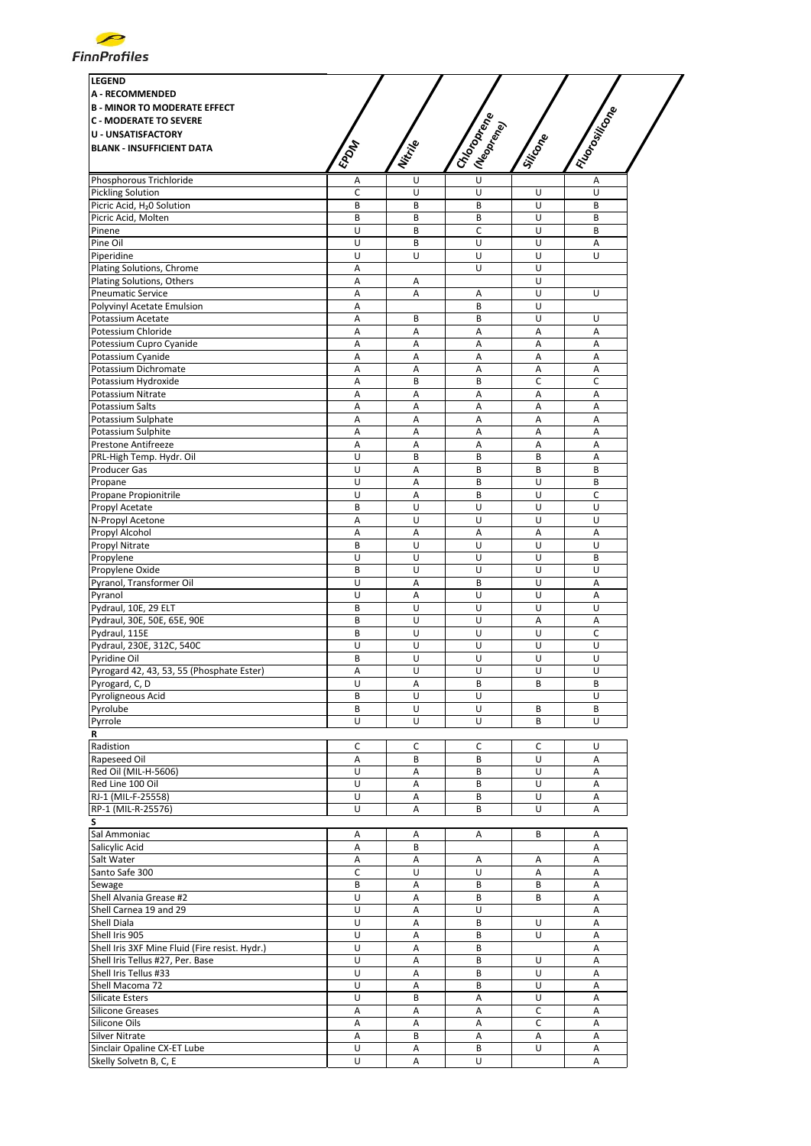

| <b>LEGEND</b><br><b>A - RECOMMENDED</b><br><b>B - MINOR TO MODERATE EFFECT</b><br><b>C - MODERATE TO SEVERE</b><br><b>U - UNSATISFACTORY</b><br><b>BLANK - INSUFFICIENT DATA</b> | <b>EPOM</b> | Nitrije | I Chooperance<br>I (Neoprend) | Jijicone    | I Florositicone |
|----------------------------------------------------------------------------------------------------------------------------------------------------------------------------------|-------------|---------|-------------------------------|-------------|-----------------|
| Phosphorous Trichloride                                                                                                                                                          | Α           | U       | $\overline{U}$                |             | Α               |
| <b>Pickling Solution</b>                                                                                                                                                         | C           | U       | U                             | U           | U               |
| Picric Acid, H <sub>2</sub> 0 Solution                                                                                                                                           | B           | B       | B                             | U           | B               |
| Picric Acid, Molten                                                                                                                                                              | B           | B       | B                             | U           | B               |
| Pinene                                                                                                                                                                           | U           | B       | С                             | U           | B               |
| Pine Oil                                                                                                                                                                         | U           | B       | U                             | U           | Α               |
| Piperidine                                                                                                                                                                       | U           | U       | U                             | U           | U               |
| Plating Solutions, Chrome                                                                                                                                                        | Α           |         | U                             | U           |                 |
| Plating Solutions, Others                                                                                                                                                        | Α           | Α       |                               | U           |                 |
| <b>Pneumatic Service</b>                                                                                                                                                         | Α           | А       | Α                             | U           | U               |
| Polyvinyl Acetate Emulsion                                                                                                                                                       | Α           |         | B                             | U           |                 |
| Potassium Acetate                                                                                                                                                                | A           | B       | B                             | U           | U               |
| Potessium Chloride                                                                                                                                                               | Α           | Α       | Α                             | Α           | А               |
| Potessium Cupro Cyanide                                                                                                                                                          | A           | А       | А                             | A           | A               |
| Potassium Cyanide                                                                                                                                                                | А           | Α       | Α                             | A           | A               |
| Potassium Dichromate                                                                                                                                                             | Α           | Α       | Α                             | Α           | Α               |
| Potassium Hydroxide                                                                                                                                                              | А           | B       | B                             | $\mathsf C$ | C               |
| Potassium Nitrate                                                                                                                                                                | А           | Α       | Α                             | А           | Α               |
| Potassium Salts                                                                                                                                                                  | А           | A       | Α<br>Α                        | A           | А<br>A          |
| Potassium Sulphate                                                                                                                                                               | Α<br>А      | Α<br>Α  | Α                             | Α<br>А      | А               |
| Potassium Sulphite<br><b>Prestone Antifreeze</b>                                                                                                                                 | Α           | Α       | Α                             | Α           | Α               |
| PRL-High Temp. Hydr. Oil                                                                                                                                                         | Ù           | B       | B                             | B           | A               |
| Producer Gas                                                                                                                                                                     | U           | Α       | B                             | B           | B               |
| Propane                                                                                                                                                                          | U           | Α       | B                             | U           | B               |
| Propane Propionitrile                                                                                                                                                            | U           | A       | B                             | U           | C               |
| Propyl Acetate                                                                                                                                                                   | B           | U       | U                             | U           | U               |
| N-Propyl Acetone                                                                                                                                                                 | А           | U       | U                             | U           | U               |
| Propyl Alcohol                                                                                                                                                                   | А           | А       | Α                             | A           | Α               |
| Propyl Nitrate                                                                                                                                                                   | B           | U       | U                             | U           | U               |
| Propylene                                                                                                                                                                        | U           | U       | U                             | U           | B               |
| Propylene Oxide                                                                                                                                                                  | B           | U       | U                             | U           | U               |
| Pyranol, Transformer Oil                                                                                                                                                         | U           | Α       | В                             | U           | Α               |
| Pyranol                                                                                                                                                                          | U           | Α       | U                             | U           | Α               |
| Pydraul, 10E, 29 ELT                                                                                                                                                             | B           | U       | U                             | U           | U               |
| Pydraul, 30E, 50E, 65E, 90E                                                                                                                                                      | B           | U       | U                             | A           | Α               |
| Pydraul, 115E                                                                                                                                                                    | B           | U       | U                             | U           | С               |
| Pydraul, 230E, 312C, 540C                                                                                                                                                        | U           | U       | U                             | U           | U               |
| Pyridine Oil                                                                                                                                                                     | B           | U       | U                             | U           | U               |
| Pyrogard 42, 43, 53, 55 (Phosphate Ester)                                                                                                                                        | А           | U       | U                             | U           | U               |
| Pyrogard, C, D                                                                                                                                                                   | U           | Α       | В                             | В           | В               |
| Pyroligneous Acid                                                                                                                                                                | B           | U       | U                             |             | U               |
| Pyrolube                                                                                                                                                                         | B           | U       | U                             | B           | В               |
| Pyrrole                                                                                                                                                                          | U           | U       | U                             | B           | U               |
| R                                                                                                                                                                                |             |         |                               |             |                 |
| Radistion                                                                                                                                                                        | c           | с<br>B  | c<br>B                        | С<br>U      | U               |
| Rapeseed Oil<br>Red Oil (MIL-H-5606)                                                                                                                                             | Α<br>U      | Α       | B                             | U           | Α<br>Α          |
| Red Line 100 Oil                                                                                                                                                                 | U           | Α       | B                             | U           | Α               |
| RJ-1 (MIL-F-25558)                                                                                                                                                               | U           | Α       | B                             | U           | Α               |
| RP-1 (MIL-R-25576)                                                                                                                                                               | U           | А       | B                             | U           | А               |
| s                                                                                                                                                                                |             |         |                               |             |                 |
| Sal Ammoniac                                                                                                                                                                     | Α           | Α       | Α                             | B           | Α               |
| Salicylic Acid                                                                                                                                                                   | А           | B       |                               |             | A               |
| Salt Water                                                                                                                                                                       | Α           | Α       | Α                             | Α           | Α               |
| Santo Safe 300                                                                                                                                                                   | $\mathsf C$ | U       | U                             | Α           | Α               |
| Sewage                                                                                                                                                                           | B           | Α       | B                             | B           | A               |
| Shell Alvania Grease #2                                                                                                                                                          | U           | Α       | B                             | B           | А               |
| Shell Carnea 19 and 29                                                                                                                                                           | U           | Α       | U                             |             | Α               |
| Shell Diala                                                                                                                                                                      | U           | Α       | B                             | U           | Α               |
| Shell Iris 905                                                                                                                                                                   | U           | Α       | B                             | U           | Α               |
| Shell Iris 3XF Mine Fluid (Fire resist. Hydr.)                                                                                                                                   | U           | Α       | B                             |             | Α               |
| Shell Iris Tellus #27, Per. Base                                                                                                                                                 | U           | Α       | B                             | U           | A               |
| Shell Iris Tellus #33                                                                                                                                                            | U           | Α       | B                             | U           | Α               |
| Shell Macoma 72                                                                                                                                                                  | U           | A       | В                             | U           | Α               |
| <b>Silicate Esters</b>                                                                                                                                                           | U           | B       | Α                             | U           | Α               |
| <b>Silicone Greases</b>                                                                                                                                                          | А           | Α       | Α                             | С           | Α               |
| Silicone Oils                                                                                                                                                                    | Α           | Α       | Α                             | c           | Α               |
| <b>Silver Nitrate</b>                                                                                                                                                            | А           | B       | Α                             | Α           | A               |
| Sinclair Opaline CX-ET Lube                                                                                                                                                      | U           | Α       | В                             | U           | Α               |
| Skelly Solvetn B, C, E                                                                                                                                                           | U           | А       | U                             |             | A               |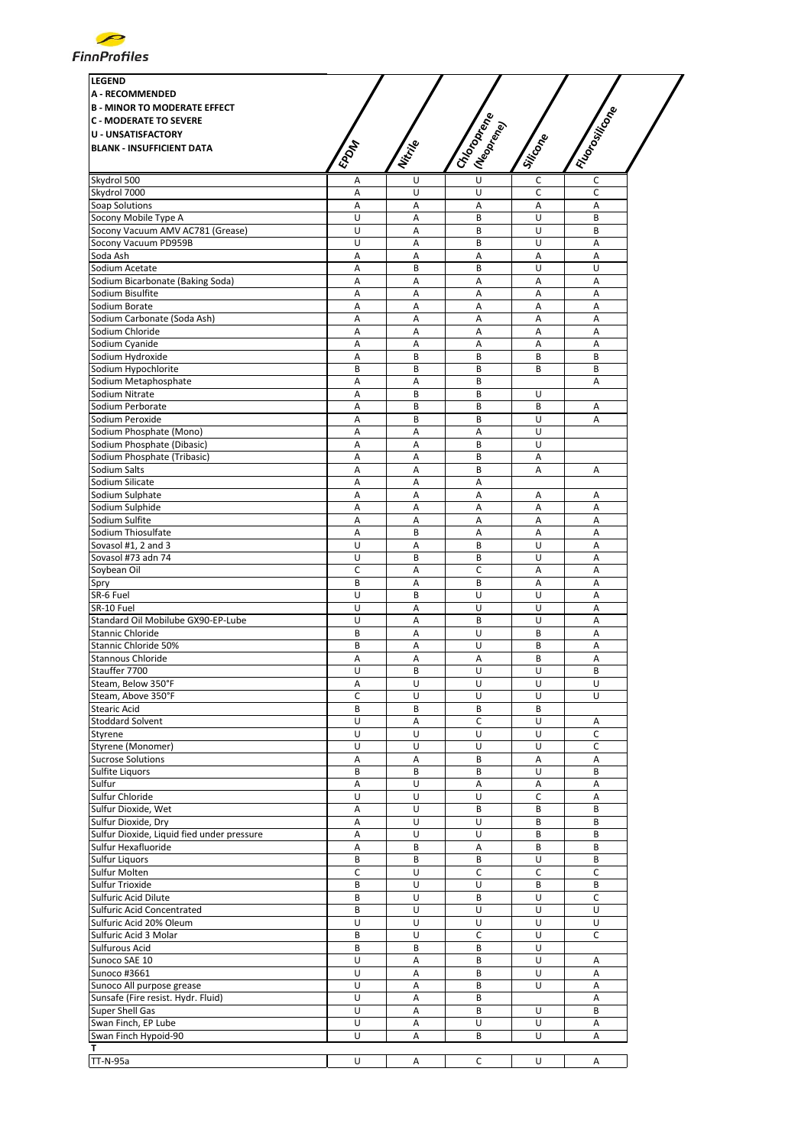

| <b>LEGEND</b>                              |                |                |                           |              |             |
|--------------------------------------------|----------------|----------------|---------------------------|--------------|-------------|
| <b>A - RECOMMENDED</b>                     |                |                |                           |              |             |
| <b>B - MINOR TO MODERATE EFFECT</b>        |                |                |                           |              |             |
| <b>C - MODERATE TO SEVERE</b>              |                |                |                           |              |             |
| <b>U - UNSATISFACTORY</b>                  |                |                |                           |              |             |
| <b>BLANK - INSUFFICIENT DATA</b>           |                |                |                           |              |             |
|                                            | <b>EPOM</b>    | Nitrille       | I Chrones<br>I (Neoprend) | Silicone     | I Riongwing |
|                                            |                |                | $\overline{U}$            |              |             |
| Skydrol 500                                | А              | U              |                           | $\mathsf C$  | $\mathsf C$ |
| Skydrol 7000                               | Α              | U              | U                         | c            | C           |
| Soap Solutions                             | A              | A              | A                         | А            | A           |
| Socony Mobile Type A                       | U              | Α              | B                         | U            | B           |
| Socony Vacuum AMV AC781 (Grease)           | U              | Α              | B                         | U            | B           |
| Socony Vacuum PD959B                       | U              | $\overline{A}$ | B                         | U            | A           |
| Soda Ash                                   | А              | A              | Α                         | Α            | A           |
| Sodium Acetate                             | Α              | B              | B                         | U            | U           |
| Sodium Bicarbonate (Baking Soda)           | Α              | Α              | A                         | Α            | A           |
| Sodium Bisulfite                           | Α              | Α              | A                         | Α            | Α           |
| Sodium Borate                              | Α              | Α              | Α                         | Α            | Α           |
| Sodium Carbonate (Soda Ash)                | Α              | A              | A                         | А            | A           |
| Sodium Chloride                            | Α              | Α              | Α                         | Α            | Α           |
| Sodium Cyanide                             | Α              | A              | Α                         | Α            | A           |
| Sodium Hydroxide                           | Α              | B              | B                         | B            | B           |
| Sodium Hypochlorite                        | B              | B              | B                         | B            | B           |
| Sodium Metaphosphate                       | Α              |                | B                         |              |             |
|                                            |                | Α              |                           |              | Α           |
| Sodium Nitrate                             | A              | B              | B                         | U            |             |
| Sodium Perborate                           | А              | B              | B                         | B            | Α           |
| Sodium Peroxide                            | Α              | B              | B                         | U            | A           |
| Sodium Phosphate (Mono)                    | Α              | Α              | Α                         | U            |             |
| Sodium Phosphate (Dibasic)                 | A              | А              | B                         | U            |             |
| Sodium Phosphate (Tribasic)                | Α              | Α              | B                         | Α            |             |
| Sodium Salts                               | Α              | A              | B                         | A            | A           |
| Sodium Silicate                            | Α              | $\overline{A}$ | Α                         |              |             |
| Sodium Sulphate                            | Α              | Α              | Α                         | Α            | A           |
| Sodium Sulphide                            | Α              | Α              | Α                         | Α            | A           |
| Sodium Sulfite                             | Α              | Α              | Α                         | Α            | Α           |
| Sodium Thiosulfate                         | A              | B              | A                         | Α            | A           |
| Sovasol #1, 2 and 3                        | U              | A              | B                         | U            | A           |
| Sovasol #73 adn 74                         | U              | B              | B                         | U            | A           |
|                                            |                |                |                           |              |             |
| Soybean Oil                                | C              | Α              | C                         | А            | A           |
| Spry                                       | B              | Α              | B                         | Α            | Α           |
| SR-6 Fuel                                  | U              | B              | U                         | U            | A           |
| SR-10 Fuel                                 | U              | Α              | U                         | U            | Α           |
| Standard Oil Mobilube GX90-EP-Lube         | U              | A              | B                         | U            | A           |
| Stannic Chloride                           | B              | A              | U                         | B            | A           |
| Stannic Chloride 50%                       | B              | Α              | U                         | B            | A           |
| <b>Stannous Chloride</b>                   | А              | Α              | Α                         | B            | Α           |
| Stauffer 7700                              | Ù              | B              | Ù                         | Ù            | B           |
| Steam, Below 350°F                         | А              | U              | U                         | U            | U           |
| Steam, Above 350°F                         | C              | U              | U                         | U            | U           |
| <b>Stearic Acid</b>                        | B              | B              | B                         | B            |             |
| <b>Stoddard Solvent</b>                    | U              | Α              | C                         | U            | Α           |
| Styrene                                    | U              | U              | U                         | U            | $\mathsf C$ |
| Styrene (Monomer)                          | U              | U              | U                         | U            | C           |
| <b>Sucrose Solutions</b>                   | А              | Α              | В                         | Α            | Α           |
| Sulfite Liquors                            | В              | В              | B                         | U            | B           |
| Sulfur                                     |                |                |                           |              |             |
|                                            | Α              | U              | A                         | Α            | А           |
| Sulfur Chloride                            | U              | U              | U                         | C            | Α           |
| Sulfur Dioxide, Wet                        | Α              | U              | B                         | B            | B           |
| Sulfur Dioxide, Dry                        | Α              | U              | U                         | B            | B           |
| Sulfur Dioxide, Liquid fied under pressure | Α              | U              | U                         | B            | B           |
| Sulfur Hexafluoride                        | Α              | B              | Α                         | B            | B           |
| <b>Sulfur Liquors</b>                      | B              | B              | B                         | U            | B           |
| Sulfur Molten                              | C              | U              | C                         | $\mathsf{C}$ | $\mathsf C$ |
| Sulfur Trioxide                            | В              | U              | U                         | B            | B           |
| Sulfuric Acid Dilute                       | B              | U              | B                         | U            | $\mathsf C$ |
| Sulfuric Acid Concentrated                 | B              | U              | U                         | U            | U           |
| Sulfuric Acid 20% Oleum                    | U              | U              | U                         | U            | U           |
| Sulfuric Acid 3 Molar                      | B              | U              | C                         | U            | C           |
| Sulfurous Acid                             | B              | B              | B                         | U            |             |
|                                            |                |                |                           |              |             |
| Sunoco SAE 10                              | U              | Α              | B                         | U            | Α           |
| Sunoco #3661                               | $\overline{U}$ | Α              | B                         | U            | A           |
| Sunoco All purpose grease                  | U              | Α              | B                         | U            | Α           |
| Sunsafe (Fire resist. Hydr. Fluid)         | U              | Α              | B                         |              | Α           |
| Super Shell Gas                            | U              | Α              | B                         | U            | B           |
| Swan Finch, EP Lube                        | U              | Α              | U                         | U            | A           |
| Swan Finch Hypoid-90                       | U              | А              | B                         | U            | А           |
| т                                          |                |                |                           |              |             |
| TT-N-95a                                   | U              | Α              | C                         | U            | Α           |
|                                            |                |                |                           |              |             |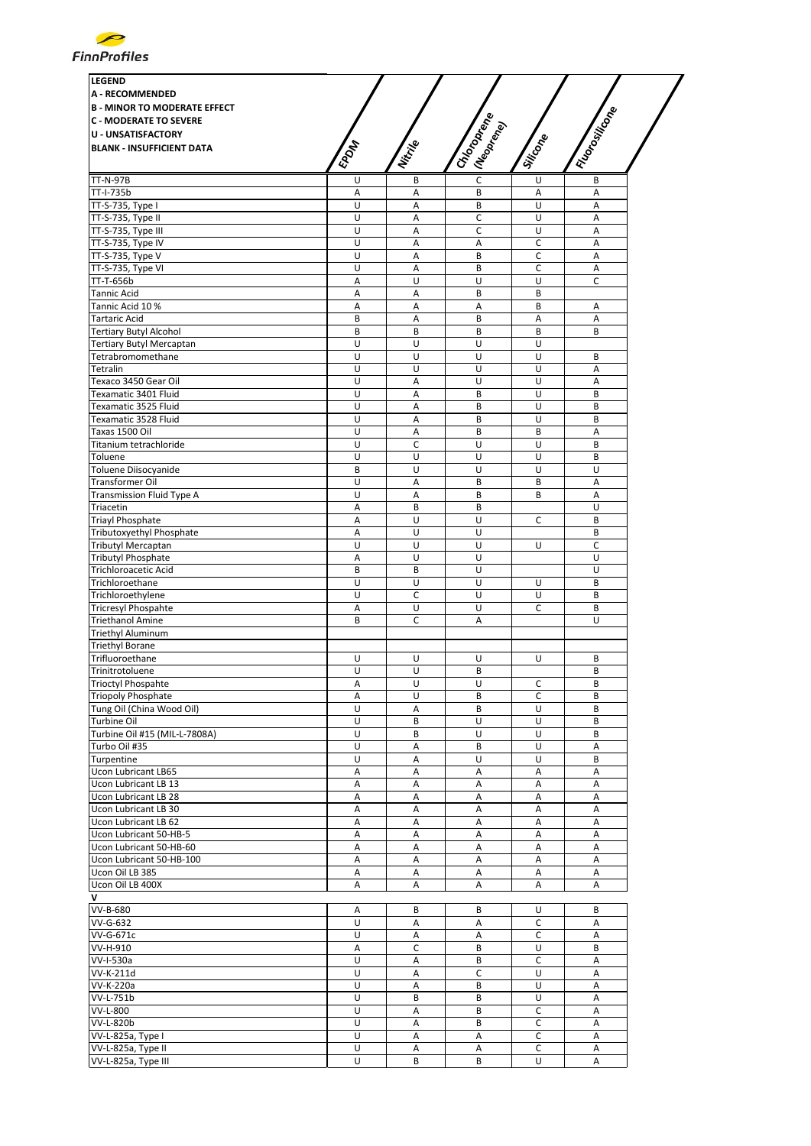

| <b>LEGEND</b>                       |              |          |                               |                         |                  |
|-------------------------------------|--------------|----------|-------------------------------|-------------------------|------------------|
| <b>A - RECOMMENDED</b>              |              |          |                               |                         |                  |
| <b>B - MINOR TO MODERATE EFFECT</b> |              |          |                               |                         |                  |
|                                     |              |          |                               |                         |                  |
| <b>C - MODERATE TO SEVERE</b>       |              |          |                               |                         |                  |
| <b>U - UNSATISFACTORY</b>           |              |          |                               |                         |                  |
| <b>BLANK - INSUFFICIENT DATA</b>    | <b>EPONT</b> | Nitrille | I Chooperance<br>I (Neoprend) | Silicone                | I Florositicorpe |
|                                     |              |          |                               |                         |                  |
| <b>TT-N-97B</b>                     | U            | B        | $\overline{c}$                | U                       | B                |
| TT-I-735b                           | A            | A        | B                             | Α                       | Α                |
| TT-S-735, Type I                    | U            | A        | B                             | $\overline{U}$          | Α                |
| TT-S-735, Type II                   | U            | Α        | C                             | U                       | Α                |
| TT-S-735, Type III                  | U            | Α        | $\mathsf C$                   | U                       | Α                |
| TT-S-735, Type IV                   | U            | Α        | Α                             | C                       | Α                |
|                                     |              |          |                               |                         |                  |
| TT-S-735, Type V                    | U            | A        | B                             | C                       | Α                |
| TT-S-735, Type VI                   | U            | A        | B                             | С                       | Α                |
| TT-T-656b                           | A            | U        | U                             | U                       | C                |
| Tannic Acid                         | A            | A        | B                             | B                       |                  |
| Tannic Acid 10 %                    | Α            | А        | Α                             | B                       | Α                |
| Tartaric Acid                       | B            | Α        | B                             | А                       | Α                |
| <b>Tertiary Butyl Alcohol</b>       | B            | B        | B                             | B                       | B                |
| Tertiary Butyl Mercaptan            | U            | U        | U                             | $\overline{U}$          |                  |
| Tetrabromomethane                   | U            | U        | U                             | $\sf U$                 | B                |
| Tetralin                            | U            | U        | U                             | $\cup$                  | Α                |
| Texaco 3450 Gear Oil                | U            | A        | U                             | U                       | Α                |
| Texamatic 3401 Fluid                | U            | A        | B                             | U                       | B                |
| Texamatic 3525 Fluid                | U            | A        | B                             | U                       | B                |
| Texamatic 3528 Fluid                | U            | A        | B                             | U                       | B                |
|                                     |              |          |                               |                         |                  |
| Taxas 1500 Oil                      | U            | Α        | B                             | B                       | Α                |
| Titanium tetrachloride              | U            | C        | U                             | U                       | B                |
| Toluene                             | U            | U        | U                             | $\overline{\mathsf{U}}$ | B                |
| Toluene Diisocyanide                | В            | U        | U                             | U                       | U                |
| Transformer Oil                     | U            | А        | B                             | B                       | Α                |
| <b>Transmission Fluid Type A</b>    | U            | A        | B                             | B                       | Α                |
| Triacetin                           | Α            | B        | B                             |                         | U                |
| <b>Triayl Phosphate</b>             | Α            | U        | U                             | C                       | B                |
| Tributoxyethyl Phosphate            | A            | U        | U                             |                         | B                |
| <b>Tributyl Mercaptan</b>           | U            | U        | U                             | U                       | C                |
| <b>Tributyl Phosphate</b>           | A            | U        | U                             |                         | U                |
| Trichloroacetic Acid                | B            | B        | U                             |                         | U                |
| Trichloroethane                     | U            | U        | U                             | U                       | B                |
| Trichloroethylene                   | U            | C        | $\sf U$                       | U                       | B                |
|                                     |              |          |                               |                         |                  |
| <b>Tricresyl Phospahte</b>          | Α            | U        | $\sf U$                       | C                       | B                |
| <b>Triethanol Amine</b>             | B            | C        | Α                             |                         | U                |
| <b>Triethyl Aluminum</b>            |              |          |                               |                         |                  |
| <b>Triethyl Borane</b>              |              |          |                               |                         |                  |
| Trifluoroethane                     | U            | U        | U                             | U                       | B                |
| Trinitrotoluene                     | U            | Ù        | B                             |                         | B                |
| <b>Trioctyl Phospahte</b>           | Α            | U        | U                             | С                       | В                |
| <b>Triopoly Phosphate</b>           | Α            | U        | B                             | C                       | B                |
| Tung Oil (China Wood Oil)           | U            | Α        | B                             | U                       | B                |
| Turbine Oil                         | U            | B        | U                             | U                       | B                |
| Turbine Oil #15 (MIL-L-7808A)       | U            | B        | U                             | U                       | B                |
| Turbo Oil #35                       | U            | Α        | B                             | U                       | Α                |
| Turpentine                          | U            | Α        | $\sf U$                       | U                       | B                |
| <b>Ucon Lubricant LB65</b>          | Α            | Α        | Α                             | Α                       | Α                |
| Ucon Lubricant LB 13                | Α            | Α        | A                             | Α                       | Α                |
| Ucon Lubricant LB 28                | Α            | А        | Α                             | Α                       | Α                |
| Ucon Lubricant LB 30                | Α            | Α        | Α                             | Α                       | А                |
| Ucon Lubricant LB 62                |              |          |                               |                         |                  |
|                                     | Α            | Α        | A                             | А                       | Α                |
| Ucon Lubricant 50-HB-5              | Α            | Α        | Α                             | Α                       | Α                |
| Ucon Lubricant 50-HB-60             | Α            | А        | Α                             | Α                       | Α                |
| Ucon Lubricant 50-HB-100            | A            | A        | Α                             | Α                       | Α                |
| Ucon Oil LB 385                     | Α            | Α        | Α                             | Α                       | Α                |
| Ucon Oil LB 400X                    | A            | Α        | Α                             | Α                       | Α                |
|                                     |              |          |                               |                         |                  |
| VV-B-680                            | Α            | B        | В                             | U                       | В                |
| VV-G-632                            | U            | А        | Α                             | С                       | Α                |
| VV-G-671c                           | U            | Α        | Α                             | С                       | Α                |
| VV-H-910                            | Α            | C        | B                             | U                       | B                |
| $\overline{\text{VV-I-530a}}$       | U            | Α        | B                             | C                       | Α                |
| VV-K-211d                           | U            | Α        | $\mathsf C$                   | $\sf U$                 | Α                |
| VV-K-220a                           | U            | А        | B                             | U                       | Α                |
| VV-L-751b                           | U            | B        | B                             | U                       | Α                |
| VV-L-800                            | U            |          |                               |                         |                  |
|                                     |              | А        | В                             | С                       | Α                |
| <b>VV-L-820b</b>                    | U            | A        | B                             | С                       | Α                |
| VV-L-825a, Type I                   | U            | Α        | Α                             | $\mathsf C$             | Α                |
| VV-L-825a, Type II                  | U            | Α        | Α                             | С                       | Α                |
| VV-L-825a, Type III                 | U            | B        | B                             | U                       | А                |